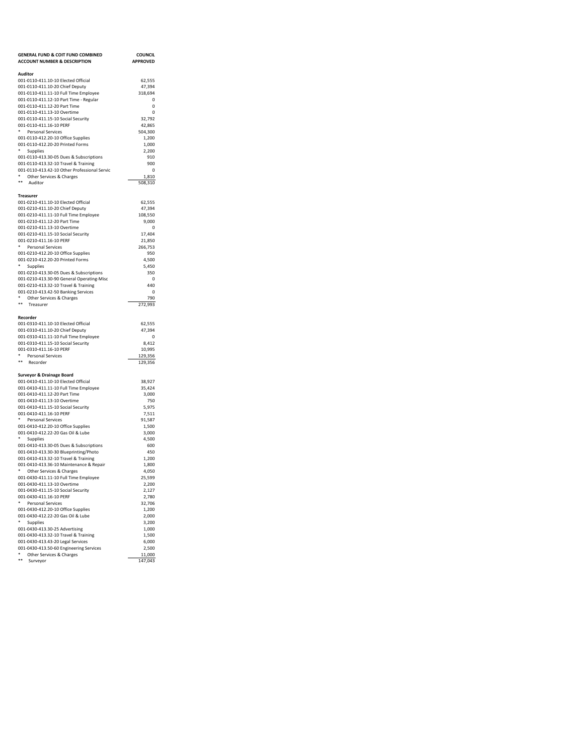| <b>GENERAL FUND &amp; COIT FUND COMBINED</b>                                    | <b>COUNCIL</b>    |
|---------------------------------------------------------------------------------|-------------------|
| <b>ACCOUNT NUMBER &amp; DESCRIPTION</b>                                         | <b>APPROVED</b>   |
| Auditor                                                                         |                   |
| 001-0110-411.10-10 Elected Official                                             | 62,555            |
| 001-0110-411.10-20 Chief Deputy                                                 | 47,394            |
| 001-0110-411.11-10 Full Time Employee                                           | 318,694           |
| 001-0110-411.12-10 Part Time - Regular<br>001-0110-411.12-20 Part Time          | $\Omega$<br>0     |
| 001-0110-411.13-10 Overtime                                                     | 0                 |
| 001-0110-411.15-10 Social Security                                              | 32,792            |
| 001-0110-411.16-10 PERF                                                         | 42,865            |
| ۰<br>Personal Services                                                          | 504,300           |
| 001-0110-412.20-10 Office Supplies                                              | 1,200             |
| 001-0110-412.20-20 Printed Forms<br>٠<br><b>Supplies</b>                        | 1,000<br>2,200    |
| 001-0110-413.30-05 Dues & Subscriptions                                         | 910               |
| 001-0110-413.32-10 Travel & Training                                            | 900               |
| 001-0110-413.42-10 Other Professional Servic                                    | 0                 |
| *<br>Other Services & Charges                                                   | 1,810             |
| **<br>Auditor                                                                   | 508,310           |
| Treasurer                                                                       |                   |
| 001-0210-411.10-10 Elected Official                                             | 62,555            |
| 001-0210-411.10-20 Chief Deputy                                                 | 47,394            |
| 001-0210-411.11-10 Full Time Employee                                           | 108,550           |
| 001-0210-411.12-20 Part Time                                                    | 9,000             |
| 001-0210-411.13-10 Overtime                                                     | $\mathbf 0$       |
| 001-0210-411.15-10 Social Security                                              | 17,404<br>21,850  |
| 001-0210-411.16-10 PERF<br>*<br>Personal Services                               | 266,753           |
| 001-0210-412.20-10 Office Supplies                                              | 950               |
| 001-0210-412.20-20 Printed Forms                                                | 4,500             |
| Supplies                                                                        | 5,450             |
| 001-0210-413.30-05 Dues & Subscriptions                                         | 350               |
| 001-0210-413.30-90 General Operating-Misc                                       | 0                 |
| 001-0210-413.32-10 Travel & Training                                            | 440<br>0          |
| 001-0210-413.42-50 Banking Services<br>* Other Services & Charges               | 790               |
| **<br>Treasurer                                                                 | 272,993           |
|                                                                                 |                   |
| Recorder                                                                        |                   |
| 001-0310-411.10-10 Elected Official<br>001-0310-411.10-20 Chief Deputy          | 62,555            |
| 001-0310-411.11-10 Full Time Employee                                           | 47,394<br>0       |
| 001-0310-411.15-10 Social Security                                              | 8,412             |
| 001-0310-411.16-10 PERF                                                         | 10,995            |
| * Personal Services                                                             | 129,356           |
| **<br>Recorder                                                                  | 129,356           |
| <b>Surveyor &amp; Drainage Board</b>                                            |                   |
| 001-0410-411.10-10 Elected Official                                             | 38,927            |
| 001-0410-411.11-10 Full Time Employee                                           | 35,424            |
| 001-0410-411.12-20 Part Time                                                    | 3,000             |
| 001-0410-411.13-10 Overtime                                                     | 750               |
| 001-0410-411.15-10 Social Security                                              | 5,975             |
| 001-0410-411.16-10 PERF<br>Personal Services                                    | 7,511<br>91,587   |
| 001-0410-412.20-10 Office Supplies                                              | 1,500             |
| 001-0410-412.22-20 Gas Oil & Lube                                               | 3,000             |
| Supplies                                                                        | 4,500             |
| 001-0410-413.30-05 Dues & Subscriptions                                         | 600               |
| 001-0410-413.30-30 Blueprinting/Photo                                           | 450               |
| 001-0410-413.32-10 Travel & Training<br>001-0410-413.36-10 Maintenance & Repair | 1,200<br>1,800    |
| ٠<br>Other Services & Charges                                                   | 4.050             |
| 001-0430-411.11-10 Full Time Employee                                           | 25,599            |
| 001-0430-411.13-10 Overtime                                                     | 2,200             |
| 001-0430-411.15-10 Social Security                                              | 2,127             |
| 001-0430-411.16-10 PERF                                                         | 2,780             |
| Personal Services                                                               | 32,706            |
| 001-0430-412.20-10 Office Supplies<br>001-0430-412.22-20 Gas Oil & Lube         | 1,200<br>2,000    |
| ۰<br>Supplies                                                                   | 3,200             |
| 001-0430-413.30-25 Advertising                                                  | 1,000             |
| 001-0430-413.32-10 Travel & Training                                            | 1,500             |
| 001-0430-413.43-20 Legal Services                                               | 6,000             |
| 001-0430-413.50-60 Engineering Services                                         | 2,500             |
| Other Services & Charges<br>$\ast\ast$<br>Surveyor                              | 11,000<br>147,043 |
|                                                                                 |                   |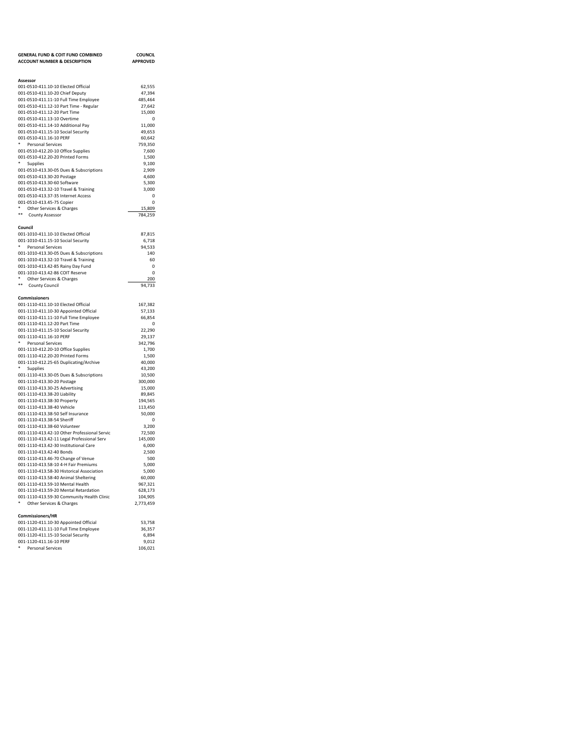| <b>GENERAL FUND &amp; COIT FUND COMBINED</b>                                      | <b>COUNCIL</b>    |
|-----------------------------------------------------------------------------------|-------------------|
| <b>ACCOUNT NUMBER &amp; DESCRIPTION</b>                                           | <b>APPROVED</b>   |
|                                                                                   |                   |
| Assessor                                                                          |                   |
| 001-0510-411.10-10 Elected Official                                               | 62,555            |
| 001-0510-411.10-20 Chief Deputy                                                   | 47,394            |
| 001-0510-411.11-10 Full Time Employee<br>001-0510-411.12-10 Part Time - Regular   | 485,464<br>27.642 |
| 001-0510-411.12-20 Part Time                                                      | 15,000            |
| 001-0510-411.13-10 Overtime                                                       | $\Omega$          |
| 001-0510-411.14-10 Additional Pay                                                 | 11,000            |
| 001-0510-411.15-10 Social Security                                                | 49,653            |
| 001-0510-411.16-10 PERF                                                           | 60.642            |
| Personal Services<br>001-0510-412.20-10 Office Supplies                           | 759,350<br>7.600  |
| 001-0510-412.20-20 Printed Forms                                                  | 1,500             |
| $\ast$<br>Supplies                                                                | 9,100             |
| 001-0510-413.30-05 Dues & Subscriptions                                           | 2,909             |
| 001-0510-413.30-20 Postage                                                        | 4,600             |
| 001-0510-413.30-60 Software                                                       | 5,300             |
| 001-0510-413.32-10 Travel & Training                                              | 3,000<br>$\Omega$ |
| 001-0510-413.37-35 Internet Access<br>001-0510-413.45-75 Copier                   | $\Omega$          |
| Other Services & Charges                                                          | 15,809            |
| $\ddot{\phantom{1}}$<br>County Assessor                                           | 784,259           |
|                                                                                   |                   |
| Council                                                                           |                   |
| 001-1010-411.10-10 Elected Official                                               | 87,815            |
| 001-1010-411.15-10 Social Security                                                | 6,718             |
| * Personal Services<br>001-1010-413.30-05 Dues & Subscriptions                    | 94,533<br>140     |
| 001-1010-413.32-10 Travel & Training                                              | 60                |
| 001-1010-413.42-85 Rainy Day Fund                                                 | $\Omega$          |
| 001-1010-413.42-86 COIT Reserve                                                   | $\mathbf 0$       |
| ٠<br>Other Services & Charges<br>$***$                                            | 200               |
| <b>County Council</b>                                                             | 94,733            |
| Commissioners                                                                     |                   |
| 001-1110-411.10-10 Elected Official                                               | 167,382           |
| 001-1110-411.10-30 Appointed Official                                             | 57,133            |
| 001-1110-411.11-10 Full Time Employee                                             | 66.854            |
| 001-1110-411.12-20 Part Time                                                      | $\Omega$          |
| 001-1110-411.15-10 Social Security<br>001-1110-411.16-10 PERF                     | 22,290<br>29,137  |
| ٠<br><b>Personal Services</b>                                                     | 342,796           |
| 001-1110-412.20-10 Office Supplies                                                | 1,700             |
| 001-1110-412.20-20 Printed Forms                                                  | 1.500             |
| 001-1110-412.25-65 Duplicating/Archive                                            | 40,000            |
| * Supplies                                                                        | 43,200            |
| 001-1110-413.30-05 Dues & Subscriptions<br>001-1110-413.30-20 Postage             | 10,500<br>300,000 |
| 001-1110-413.30-25 Advertising                                                    | 15,000            |
| 001-1110-413.38-20 Liability                                                      | 89,845            |
| 001-1110-413.38-30 Property                                                       | 194,565           |
| 001-1110-413.38-40 Vehicle                                                        | 113,450           |
| 001-1110-413.38-50 Self Insurance                                                 | 50,000            |
| 001-1110-413.38-54 Sheriff<br>001-1110-413.38-60 Volunteer                        | $\Omega$<br>3,200 |
| 001-1110-413.42-10 Other Professional Servic                                      | 72,500            |
| 001-1110-413.42-11 Legal Professional Serv                                        | 145,000           |
| 001-1110-413.42-30 Institutional Care                                             | 6,000             |
| 001-1110-413.42-40 Bonds                                                          | 2,500             |
| 001-1110-413.46-70 Change of Venue                                                | 500               |
| 001-1110-413.58-10 4-H Fair Premiums<br>001-1110-413.58-30 Historical Association | 5,000<br>5.000    |
| 001-1110-413.58-40 Animal Sheltering                                              | 60,000            |
| 001-1110-413.59-10 Mental Health                                                  | 967,321           |
| 001-1110-413.59-20 Mental Retardation                                             | 628,173           |
| 001-1110-413.59-30 Community Health Clinic                                        | 104,905           |
| Other Services & Charges                                                          | 2,773,459         |
| Commissioners/HR                                                                  |                   |
| 001-1120-411.10-30 Appointed Official                                             | 53,758            |
| 001-1120-411.11-10 Full Time Employee                                             | 36,357            |
| 001-1120-411.15-10 Social Security                                                | 6,894             |
| 001-1120-411.16-10 PERF                                                           | 9,012             |
| <b>Personal Services</b>                                                          | 106,021           |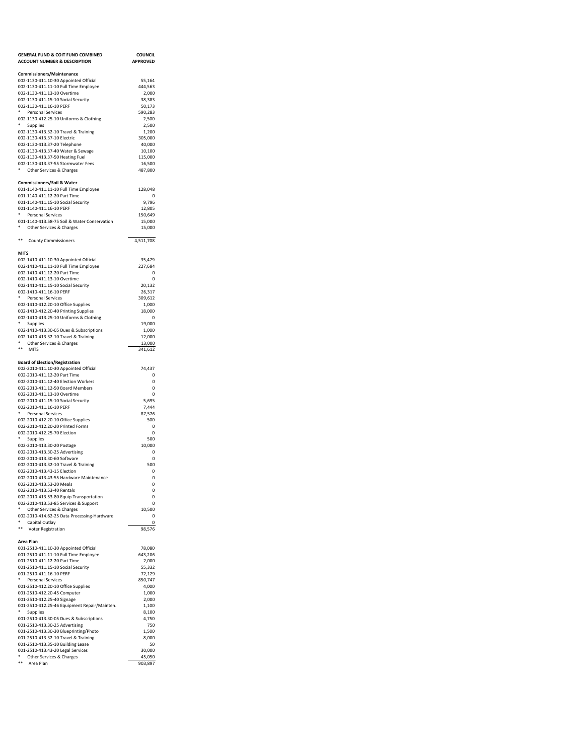| <b>GENERAL FUND &amp; COIT FUND COMBINED</b><br><b>ACCOUNT NUMBER &amp; DESCRIPTION</b> | <b>COUNCIL</b><br><b>APPROVED</b> |
|-----------------------------------------------------------------------------------------|-----------------------------------|
| <b>Commissioners/Maintenance</b>                                                        |                                   |
| 002-1130-411.10-30 Appointed Official                                                   | 55,164                            |
| 002-1130-411.11-10 Full Time Employee                                                   | 444,563                           |
| 002-1130-411.13-10 Overtime                                                             | 2,000                             |
| 002-1130-411.15-10 Social Security<br>002-1130-411.16-10 PERF                           | 38,383                            |
| ٠<br>Personal Services                                                                  | 50,173<br>590.283                 |
| 002-1130-412.25-10 Uniforms & Clothing                                                  | 2,500                             |
| ٠<br>Supplies                                                                           | 2,500                             |
| 002-1130-413.32-10 Travel & Training                                                    | 1,200                             |
| 002-1130-413.37-10 Electric                                                             | 305,000                           |
| 002-1130-413.37-20 Telephone<br>002-1130-413.37-40 Water & Sewage                       | 40,000<br>10.100                  |
| 002-1130-413.37-50 Heating Fuel                                                         | 115,000                           |
| 002-1130-413.37-55 Stormwater Fees                                                      | 16,500                            |
| Other Services & Charges                                                                | 487,800                           |
| <b>Commissioners/Soil &amp; Water</b>                                                   |                                   |
| 001-1140-411.11-10 Full Time Employee<br>001-1140-411.12-20 Part Time                   | 128,048<br>$\Omega$               |
| 001-1140-411.15-10 Social Security                                                      | 9,796                             |
| 001-1140-411.16-10 PERF                                                                 | 12,805                            |
| *<br>Personal Services                                                                  | 150,649                           |
| 001-1140-413.58-75 Soil & Water Conservation                                            | 15,000                            |
| Other Services & Charges                                                                | 15,000                            |
| **<br><b>County Commissioners</b>                                                       | 4,511,708                         |
| <b>MITS</b><br>002-1410-411.10-30 Appointed Official                                    | 35,479                            |
| 002-1410-411.11-10 Full Time Employee                                                   | 227,684                           |
| 002-1410-411.12-20 Part Time                                                            | 0                                 |
| 002-1410-411.13-10 Overtime                                                             | 0                                 |
| 002-1410-411.15-10 Social Security                                                      | 20,132                            |
| 002-1410-411.16-10 PERF<br>*                                                            | 26,317                            |
| <b>Personal Services</b>                                                                | 309,612                           |
| 002-1410-412.20-10 Office Supplies<br>002-1410-412.20-40 Printing Supplies              | 1,000<br>18,000                   |
| 002-1410-413.25-10 Uniforms & Clothing                                                  | 0                                 |
| ٠<br>Supplies                                                                           | 19,000                            |
| 002-1410-413.30-05 Dues & Subscriptions                                                 | 1,000                             |
| 002-1410-413.32-10 Travel & Training<br>*                                               | 12,000                            |
| Other Services & Charges<br>**<br>MITS                                                  | 13,000<br>341,612                 |
|                                                                                         |                                   |
| <b>Board of Election/Registration</b>                                                   |                                   |
| 002-2010-411.10-30 Appointed Official<br>002-2010-411.12-20 Part Time                   | 74,437<br>0                       |
| 002-2010-411.12-40 Election Workers                                                     | $\Omega$                          |
| 002-2010-411.12-50 Board Members                                                        | 0                                 |
| 002-2010-411.13-10 Overtime                                                             | $\Omega$                          |
| 002-2010-411.15-10 Social Security                                                      | 5,695                             |
| 002-2010-411.16-10 PERF<br>۰<br><b>Personal Services</b>                                | 7,444                             |
| 002-2010-412.20-10 Office Supplies                                                      | 87,576<br>500                     |
| 002-2010-412.20-20 Printed Forms                                                        | 0                                 |
| 002-2010-412.25-70 Election                                                             | 0                                 |
| ۰<br>Supplies                                                                           | 500                               |
| 002-2010-413.30-20 Postage                                                              | 10,000                            |
| 002-2010-413.30-25 Advertising<br>002-2010-413.30-60 Software                           | 0<br>0                            |
| 002-2010-413.32-10 Travel & Training                                                    | 500                               |
| 002-2010-413.43-15 Election                                                             | 0                                 |
| 002-2010-413.43-55 Hardware Maintenance                                                 |                                   |
| 002-2010-413.53-20 Meals                                                                | 0                                 |
| 002-2010-413.53-40 Rentals                                                              | 0                                 |
| 002-2010-413.53-80 Equip Transportation<br>002-2010-413.53-85 Services & Support        | 0<br>$\Omega$                     |
| *<br>Other Services & Charges                                                           | 10,500                            |
| 002-2010-414.62-25 Data Processing-Hardware                                             | 0                                 |
| ۰<br>Capital Outlay                                                                     | 0                                 |
| **<br>Voter Registration                                                                | 98,576                            |
| Area Plan<br>001-2510-411.10-30 Appointed Official                                      | 78,080                            |
| 001-2510-411.11-10 Full Time Employee                                                   | 643,206                           |
| 001-2510-411.12-20 Part Time                                                            | 2,000                             |
| 001-2510-411.15-10 Social Security                                                      | 55,332                            |
| 001-2510-411.16-10 PERF                                                                 | 72,129                            |
| ۰<br>Personal Services                                                                  | 850,747                           |
| 001-2510-412.20-10 Office Supplies                                                      | 4,000<br>1,000                    |
| 001-2510-412.20-45 Computer<br>001-2510-412.25-40 Signage                               | 2,000                             |
| 001-2510-412.25-46 Equipment Repair/Mainten.                                            | 1,100                             |
| ٠<br>Supplies                                                                           | 8,100                             |
| 001-2510-413.30-05 Dues & Subscriptions                                                 | 4,750                             |
| 001-2510-413.30-25 Advertising                                                          | 750                               |
| 001-2510-413.30-30 Blueprinting/Photo                                                   | 1,500                             |
| 001-2510-413.32-10 Travel & Training<br>001-2510-413.35-10 Building Lease               | 8,000<br>50                       |
| 001-2510-413.43-20 Legal Services                                                       | 30,000                            |
| * Other Services & Charges                                                              | 45,050                            |
| **<br>Area Plan                                                                         | 903,897                           |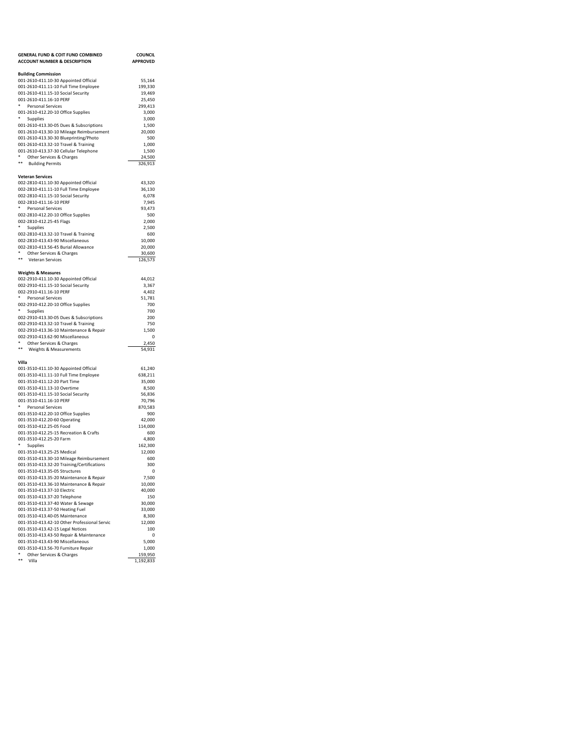| <b>GENERAL FUND &amp; COIT FUND COMBINED</b>                                        | <b>COUNCIL</b>    |
|-------------------------------------------------------------------------------------|-------------------|
| <b>ACCOUNT NUMBER &amp; DESCRIPTION</b>                                             | <b>APPROVED</b>   |
| <b>Building Commission</b>                                                          |                   |
| 001-2610-411.10-30 Appointed Official                                               | 55,164            |
| 001-2610-411.11-10 Full Time Employee                                               | 199,330           |
| 001-2610-411.15-10 Social Security                                                  | 19,469            |
| 001-2610-411.16-10 PERF                                                             | 25,450            |
| ۰<br><b>Personal Services</b>                                                       | 299,413           |
| 001-2610-412.20-10 Office Supplies<br>*                                             | 3,000             |
| Supplies                                                                            | 3,000             |
| 001-2610-413.30-05 Dues & Subscriptions<br>001-2610-413.30-10 Mileage Reimbursement | 1,500<br>20,000   |
| 001-2610-413.30-30 Blueprinting/Photo                                               | 500               |
| 001-2610-413.32-10 Travel & Training                                                | 1,000             |
| 001-2610-413.37-30 Cellular Telephone                                               | 1,500             |
| ٠<br>Other Services & Charges                                                       | 24,500            |
| **<br><b>Building Permits</b>                                                       | 326,913           |
|                                                                                     |                   |
| <b>Veteran Services</b><br>002-2810-411.10-30 Appointed Official                    | 43,320            |
| 002-2810-411.11-10 Full Time Employee                                               | 36,130            |
| 002-2810-411.15-10 Social Security                                                  | 6,078             |
| 002-2810-411.16-10 PERF                                                             | 7,945             |
| *<br>Personal Services                                                              | 93,473            |
| 002-2810-412.20-10 Office Supplies                                                  | 500               |
| 002-2810-412.25-45 Flags                                                            | 2,000             |
| ٠<br>Supplies                                                                       | 2,500             |
| 002-2810-413.32-10 Travel & Training                                                | 600               |
| 002-2810-413.43-90 Miscellaneous                                                    | 10,000            |
| 002-2810-413.56-45 Burial Allowance<br>*<br>Other Services & Charges                | 20,000<br>30,600  |
| **<br>Veteran Services                                                              | 126,573           |
|                                                                                     |                   |
| <b>Weights &amp; Measures</b>                                                       |                   |
| 002-2910-411.10-30 Appointed Official                                               | 44,012            |
| 002-2910-411.15-10 Social Security                                                  | 3,367             |
| 002-2910-411.16-10 PERF<br>٠                                                        | 4.402             |
| Personal Services<br>002-2910-412.20-10 Office Supplies                             | 51,781<br>700     |
| ٠<br>Supplies                                                                       | 700               |
| 002-2910-413.30-05 Dues & Subscriptions                                             | 200               |
| 002-2910-413.32-10 Travel & Training                                                | 750               |
| 002-2910-413.36-10 Maintenance & Repair                                             | 1,500             |
| 002-2910-413.62-90 Miscellaneous                                                    | 0                 |
| *<br>Other Services & Charges                                                       | 2,450             |
| **<br>Weights & Measurements                                                        | 54,931            |
| Villa                                                                               |                   |
| 001-3510-411.10-30 Appointed Official                                               | 61,240            |
| 001-3510-411.11-10 Full Time Employee                                               | 638,211           |
| 001-3510-411.12-20 Part Time                                                        | 35,000            |
| 001-3510-411.13-10 Overtime                                                         | 8,500             |
| 001-3510-411.15-10 Social Security                                                  | 56,836            |
| 001-3510-411.16-10 PERF                                                             | 70,796            |
| *<br>Personal Services                                                              | 870,583           |
| 001-3510-412.20-10 Office Supplies<br>001-3510-412.20-60 Operating                  | 900               |
| 001-3510-412.25-05 Food                                                             | 42,000<br>114,000 |
| 001-3510-412.25-15 Recreation & Crafts                                              | 600               |
| 001-3510-412.25-20 Farm                                                             | 4,800             |
| ۰<br>Supplies                                                                       | 162,300           |
| 001-3510-413.25-25 Medical                                                          | 12,000            |
| 001-3510-413.30-10 Mileage Reimbursement                                            | 600               |
| 001-3510-413.32-20 Training/Certifications                                          | 300               |
| 001-3510-413.35-05 Structures                                                       | 0                 |
| 001-3510-413.35-20 Maintenance & Repair<br>001-3510-413.36-10 Maintenance & Repair  | 7,500<br>10,000   |
| 001-3510-413.37-10 Electric                                                         | 40,000            |
| 001-3510-413.37-20 Telephone                                                        | 150               |
| 001-3510-413.37-40 Water & Sewage                                                   | 30,000            |
| 001-3510-413.37-50 Heating Fuel                                                     | 33,000            |
| 001-3510-413.40-05 Maintenance                                                      | 8,300             |
| 001-3510-413.42-10 Other Professional Servic                                        | 12,000            |
| 001-3510-413.42-15 Legal Notices                                                    | 100               |
| 001-3510-413.43-50 Repair & Maintenance                                             | 0                 |
| 001-3510-413.43-90 Miscellaneous<br>001-3510-413.56-70 Furniture Repair             | 5,000<br>1,000    |
| ۰<br>Other Services & Charges                                                       | 159,950           |
| ** Villa                                                                            | 1,192,833         |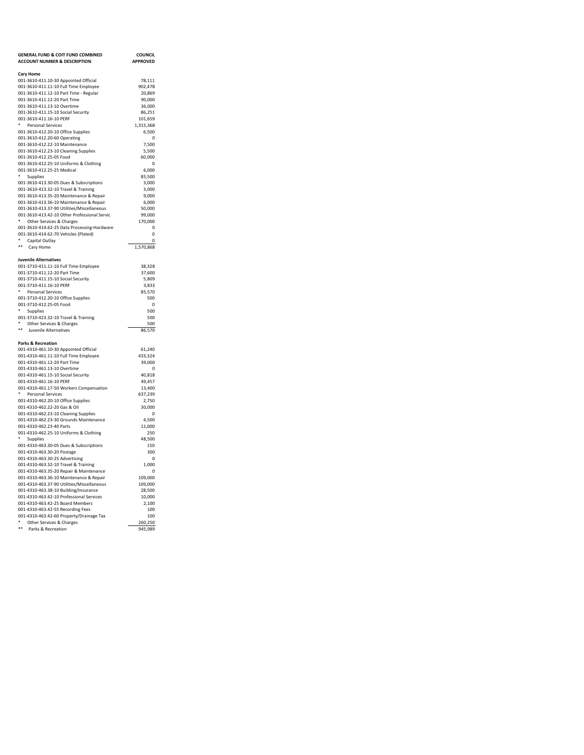| <b>GENERAL FUND &amp; COIT FUND COMBINED</b>                                 | <b>COUNCIL</b>              |
|------------------------------------------------------------------------------|-----------------------------|
| <b>ACCOUNT NUMBER &amp; DESCRIPTION</b>                                      | <b>APPROVED</b>             |
|                                                                              |                             |
| <b>Cary Home</b><br>001-3610-411.10-30 Appointed Official                    | 78,111                      |
| 001-3610-411.11-10 Full Time Employee                                        | 902,478                     |
| 001-3610-411.12-10 Part Time - Regular                                       | 20.869                      |
| 001-3610-411.12-20 Part Time                                                 | 90.000                      |
| 001-3610-411.13-10 Overtime                                                  | 36,000                      |
| 001-3610-411.15-10 Social Security                                           | 86,251                      |
| 001-3610-411.16-10 PERF<br>٠<br>Personal Services                            | 101,659<br>1,315,368        |
| 001-3610-412.20-10 Office Supplies                                           | 6,500                       |
| 001-3610-412.20-60 Operating                                                 | $\mathbf 0$                 |
| 001-3610-412.22-10 Maintenance                                               | 7,500                       |
| 001-3610-412.23-10 Cleaning Supplies                                         | 5,500                       |
| 001-3610-412.25-05 Food                                                      | 60,000                      |
| 001-3610-412.25-10 Uniforms & Clothing                                       | $\Omega$                    |
| 001-3610-412.25-25 Medical                                                   | 6.000                       |
| Supplies<br>001-3610-413.30-05 Dues & Subscriptions                          | 85,500<br>3,000             |
| 001-3610-413.32-10 Travel & Training                                         | 3,000                       |
| 001-3610-413.35-20 Maintenance & Repair                                      | 9,000                       |
| 001-3610-413.36-10 Maintenance & Repair                                      | 6,000                       |
| 001-3610-413.37-90 Utilities/Miscellaneous                                   | 50.000                      |
| 001-3610-413.42-10 Other Professional Servic                                 | 99.000                      |
| ٠<br>Other Services & Charges                                                | 170,000                     |
| 001-3610-414.62-25 Data Processing-Hardware                                  | $\mathbf 0$<br>$\mathbf{0}$ |
| 001-3610-414.62-70 Vehicles (Plated)<br>Capital Outlay                       | $\Omega$                    |
| **<br>Cary Home                                                              | 1.570.868                   |
|                                                                              |                             |
| <b>Juvenile Alternatives</b>                                                 |                             |
| 001-3710-411.11-10 Full Time Employee                                        | 38,328                      |
| 001-3710-411.12-20 Part Time                                                 | 37,600                      |
| 001-3710-411.15-10 Social Security                                           | 5,809                       |
| 001-3710-411.16-10 PERF<br><b>Personal Services</b>                          | 3,833<br>85,570             |
| 001-3710-412.20-10 Office Supplies                                           | 500                         |
| 001-3710-412.25-05 Food                                                      | $\Omega$                    |
| ٠<br>Supplies                                                                | 500                         |
| 001-3710-423.32-10 Travel & Training                                         | 500                         |
| Other Services & Charges                                                     | 500                         |
| Juvenile Alternatives                                                        | 86.570                      |
| <b>Parks &amp; Recreation</b>                                                |                             |
| 001-4310-461.10-30 Appointed Official                                        | 61,240                      |
| 001-4310-461.11-10 Full Time Employee                                        | 433,324                     |
| 001-4310-461.12-20 Part Time                                                 | 39,000                      |
| 001-4310-461.13-10 Overtime                                                  | $\Omega$                    |
| 001-4310-461.15-10 Social Security                                           | 40.818                      |
| 001-4310-461.16-10 PERF                                                      | 49.457                      |
| 001-4310-461.17-50 Workers Compensation<br>Personal Services                 | 13,400<br>637,239           |
| 001-4310-462.20-10 Office Supplies                                           | 2,750                       |
| 001-4310-462.22-20 Gas & Oil                                                 | 30,000                      |
| 001-4310-462.23-10 Cleaning Supplies                                         | $\mathbf 0$                 |
| 001-4310-462.23-30 Grounds Maintenance                                       | 4,500                       |
| 001-4310-462.23-40 Parts                                                     | 11,000                      |
| 001-4310-462.25-10 Uniforms & Clothing<br>٠                                  | 250                         |
| Supplies<br>001-4310-463.30-05 Dues & Subscriptions                          | 48,500<br>150               |
| 001-4310-463.30-20 Postage                                                   | 300                         |
| 001-4310-463.30-25 Advertising                                               | $\Omega$                    |
| 001-4310-463.32-10 Travel & Training                                         | 1,000                       |
| 001-4310-463.35-20 Repair & Maintenance                                      | $\Omega$                    |
| 001-4310-463.36-10 Maintenance & Repair                                      | 109,000                     |
| 001-4310-463.37-90 Utilities/Miscellaneous                                   | 109,000                     |
| 001-4310-463.38-10 Building/Insurance                                        | 28,500                      |
| 001-4310-463.42-10 Professional Services<br>001-4310-463.42-25 Board Members | 10,000<br>2,100             |
| 001-4310-463.42-55 Recording Fees                                            | 100                         |
| 001-4310-463.42-60 Property/Drainage Tax                                     | 100                         |
| Other Services & Charges                                                     | 260,250                     |
| $\star$<br>Parks & Recreation                                                | 945,989                     |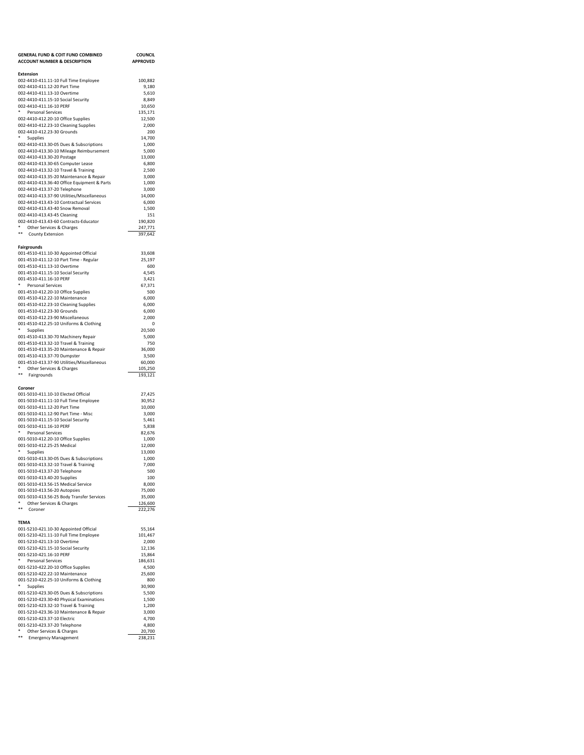| <b>GENERAL FUND &amp; COIT FUND COMBINED</b>                                    | <b>COUNCIL</b>   |
|---------------------------------------------------------------------------------|------------------|
| <b>ACCOUNT NUMBER &amp; DESCRIPTION</b>                                         | <b>APPROVED</b>  |
| <b>Extension</b>                                                                |                  |
| 002-4410-411.11-10 Full Time Employee                                           | 100,882          |
| 002-4410-411.12-20 Part Time                                                    | 9,180            |
| 002-4410-411.13-10 Overtime<br>002-4410-411.15-10 Social Security               | 5,610<br>8,849   |
| 002-4410-411.16-10 PERF                                                         | 10,650           |
| * Personal Services                                                             | 135,171          |
| 002-4410-412.20-10 Office Supplies                                              | 12,500           |
| 002-4410-412.23-10 Cleaning Supplies<br>002-4410-412.23-30 Grounds              | 2,000<br>200     |
| ٠<br>Supplies                                                                   | 14,700           |
| 002-4410-413.30-05 Dues & Subscriptions                                         | 1,000            |
| 002-4410-413.30-10 Mileage Reimbursement                                        | 5,000            |
| 002-4410-413.30-20 Postage                                                      | 13,000           |
| 002-4410-413.30-65 Computer Lease<br>002-4410-413.32-10 Travel & Training       | 6,800<br>2,500   |
| 002-4410-413.35-20 Maintenance & Repair                                         | 3,000            |
| 002-4410-413.36-40 Office Equipment & Parts                                     | 1,000            |
| 002-4410-413.37-20 Telephone                                                    | 3,000            |
| 002-4410-413.37-90 Utilities/Miscellaneous                                      | 14,000           |
| 002-4410-413.43-10 Contractual Services<br>002-4410-413.43-40 Snow Removal      | 6,000<br>1,500   |
| 002-4410-413.43-45 Cleaning                                                     | 151              |
| 002-4410-413.43-60 Contracts-Educator                                           | 190,820          |
| *<br>Other Services & Charges                                                   | 247,771          |
| $***$<br><b>County Extension</b>                                                | 397,642          |
| <b>Fairgrounds</b>                                                              |                  |
| 001-4510-411.10-30 Appointed Official                                           | 33,608           |
| 001-4510-411.12-10 Part Time - Regular                                          | 25,197           |
| 001-4510-411.13-10 Overtime                                                     | 600              |
| 001-4510-411.15-10 Social Security<br>001-4510-411.16-10 PERF                   | 4.545<br>3,421   |
| *<br>Personal Services                                                          | 67,371           |
| 001-4510-412.20-10 Office Supplies                                              | 500              |
| 001-4510-412.22-10 Maintenance                                                  | 6,000            |
| 001-4510-412.23-10 Cleaning Supplies                                            | 6,000            |
| 001-4510-412.23-30 Grounds<br>001-4510-412.23-90 Miscellaneous                  | 6,000<br>2,000   |
| 001-4510-412.25-10 Uniforms & Clothing                                          | 0                |
| Supplies                                                                        | 20,500           |
| 001-4510-413.30-70 Machinery Repair                                             | 5,000            |
| 001-4510-413.32-10 Travel & Training                                            | 750              |
| 001-4510-413.35-20 Maintenance & Repair<br>001-4510-413.37-70 Dumpster          | 36,000<br>3,500  |
| 001-4510-413.37-90 Utilities/Miscellaneous                                      | 60,000           |
| ٠<br>Other Services & Charges                                                   | 105,250          |
| **<br>Fairgrounds                                                               | 193,121          |
|                                                                                 |                  |
| Coroner<br>001-5010-411.10-10 Elected Official                                  | 27,425           |
| 001-5010-411.11-10 Full Time Employee                                           | 30,952           |
| 001-5010-411.12-20 Part Time                                                    | 10,000           |
| 001-5010-411.12-90 Part Time - Misc                                             | 3,000            |
| 001-5010-411.15-10 Social Security<br>001-5010-411.16-10 PERF                   | 5,461<br>5,838   |
| ٠<br>Personal Services                                                          | 82,676           |
| 001-5010-412.20-10 Office Supplies                                              | 1,000            |
| 001-5010-412.25-25 Medical                                                      | 12,000           |
| *<br>Supplies                                                                   | 13,000           |
| 001-5010-413.30-05 Dues & Subscriptions<br>001-5010-413.32-10 Travel & Training | 1,000<br>7,000   |
| 001-5010-413.37-20 Telephone                                                    | 500              |
| 001-5010-413.40-20 Supplies                                                     | 100              |
| 001-5010-413.56-15 Medical Service                                              | 8,000            |
| 001-5010-413.56-20 Autopsies                                                    | 75,000<br>35,000 |
| 001-5010-413.56-25 Body Transfer Services<br>٠<br>Other Services & Charges      | 126,600          |
| $\ast\ast$<br>Coroner                                                           | 222,276          |
|                                                                                 |                  |
| TEMA<br>001-5210-421.10-30 Appointed Official                                   | 55,164           |
| 001-5210-421.11-10 Full Time Employee                                           | 101,467          |
| 001-5210-421.13-10 Overtime                                                     | 2,000            |
| 001-5210-421.15-10 Social Security                                              | 12,136           |
| 001-5210-421.16-10 PERF<br>٠                                                    | 15,864           |
| Personal Services<br>001-5210-422.20-10 Office Supplies                         | 186,631<br>4,500 |
| 001-5210-422.22-10 Maintenance                                                  | 25,600           |
| 001-5210-422.25-10 Uniforms & Clothing                                          | 800              |
| Supplies                                                                        |                  |
| 001-5210-423.30-05 Dues & Subscriptions                                         | 30,900           |
|                                                                                 | 5,500            |
| 001-5210-423.30-40 Physical Examinations                                        | 1,500            |
| 001-5210-423.32-10 Travel & Training<br>001-5210-423.36-10 Maintenance & Repair | 1,200<br>3,000   |
| 001-5210-423.37-10 Electric                                                     | 4,700            |
| 001-5210-423.37-20 Telephone<br>۰<br>Other Services & Charges                   | 4,800<br>20,700  |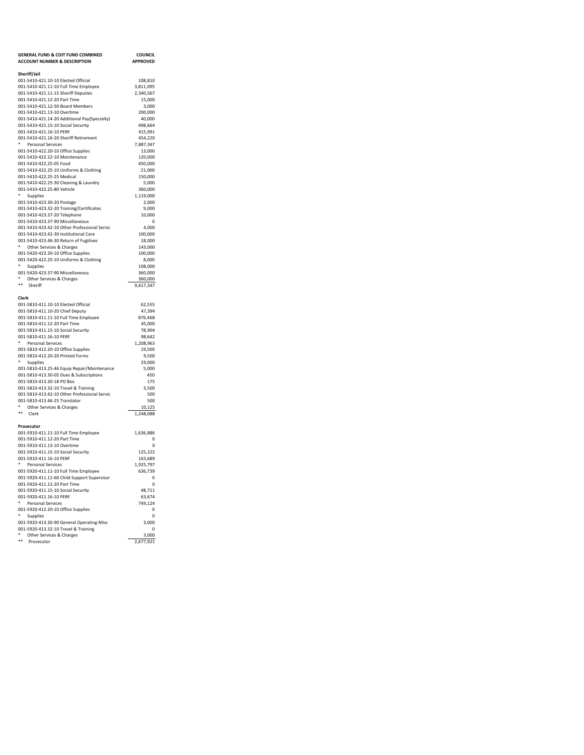| <b>GENERAL FUND &amp; COIT FUND COMBINED</b>                                           | <b>COUNCIL</b>     |
|----------------------------------------------------------------------------------------|--------------------|
| <b>ACCOUNT NUMBER &amp; DESCRIPTION</b>                                                | <b>APPROVED</b>    |
| Sheriff/Jail                                                                           |                    |
| 001-5410-421.10-10 Elected Official                                                    | 108,810            |
| 001-5410-421.11-10 Full Time Employee                                                  | 3,811,095          |
| 001-5410-421.11-15 Sheriff Deputies                                                    | 2,340,567          |
| 001-5410-421.12-20 Part Time                                                           | 15,000             |
| 001-5410-421.12-50 Board Members                                                       | 3.000              |
| 001-5410-421.13-10 Overtime<br>001-5410-421.14-20 Additional Pay(Specialty)            | 200.000<br>40.000  |
| 001-5410-421.15-10 Social Security                                                     | 498,664            |
| 001-5410-421.16-10 PERF                                                                | 415,991            |
| 001-5410-421.16-20 Sheriff Retirement                                                  | 454,220            |
| ٠<br><b>Personal Services</b>                                                          | 7,887,347          |
| 001-5410-422.20-10 Office Supplies                                                     | 13,000             |
| 001-5410-422.22-10 Maintenance                                                         | 120,000            |
| 001-5410-422.25-05 Food                                                                | 450,000            |
| 001-5410-422.25-10 Uniforms & Clothing                                                 | 21,000             |
| 001-5410-422.25-25 Medical<br>001-5410-422.25-30 Cleaning & Laundry                    | 150,000<br>5,000   |
| 001-5410-422.25-80 Vehicle                                                             | 360,000            |
| Supplies                                                                               | 1,119,000          |
| 001-5410-423.30-20 Postage                                                             | 2,000              |
| 001-5410-423.32-20 Training/Certificates                                               | 9.000              |
| 001-5410-423.37-20 Telephone                                                           | 10,000             |
| 001-5410-423.37-90 Miscellaneous                                                       | $\mathbf 0$        |
| 001-5410-423.42-10 Other Professional Servic                                           | 4,000              |
| 001-5410-423.42-30 Institutional Care                                                  | 100,000            |
| 001-5410-423.46-30 Return of Fugitives<br>۰                                            | 18,000             |
| Other Services & Charges<br>001-5420-422.20-10 Office Supplies                         | 143,000<br>100.000 |
| 001-5420-422.25-10 Uniforms & Clothing                                                 | 8,000              |
| ۰<br>Supplies                                                                          | 108,000            |
| 001-5420-423.37-90 Miscellaneous                                                       | 360,000            |
| * Other Services & Charges                                                             | 360,000            |
| **<br>Sheriff                                                                          | 9,617,347          |
|                                                                                        |                    |
| Clerk<br>001-5810-411.10-10 Elected Official                                           |                    |
| 001-5810-411.10-20 Chief Deputy                                                        | 62,555<br>47,394   |
| 001-5810-411.11-10 Full Time Employee                                                  | 876,468            |
| 001-5810-411.12-20 Part Time                                                           | 45,000             |
| 001-5810-411.15-10 Social Security                                                     | 78.904             |
| 001-5810-411.16-10 PERF                                                                | 98,642             |
| ۰<br><b>Personal Services</b>                                                          | 1,208,963          |
| 001-5810-412.20-10 Office Supplies                                                     | 19,500             |
| 001-5810-412.20-20 Printed Forms<br>۰                                                  | 9.500              |
| Supplies                                                                               | 29.000<br>5,000    |
| 001-5810-413.25-46 Equip Repair/Maintenance<br>001-5810-413.30-05 Dues & Subscriptions | 450                |
| 001-5810-413.30-18 PO Box                                                              | 175                |
| 001-5810-413.32-10 Travel & Training                                                   | 3.500              |
| 001-5810-413.42-10 Other Professional Servic                                           | 500                |
| 001-5810-413.46-25 Translator                                                          | 500                |
| * Other Services & Charges                                                             | 10,125             |
| **<br>Clerk                                                                            | 1,248,088          |
|                                                                                        |                    |
| Prosecutor<br>001-5910-411.11-10 Full Time Employee                                    | 1,636,886          |
| 001-5910-411.12-20 Part Time                                                           | $\Omega$           |
| 001-5910-411.13-10 Overtime                                                            | $\mathbf 0$        |
| 001-5910-411.15-10 Social Security                                                     | 125,222            |
| 001-5910-411.16-10 PERF                                                                | 163,689            |
| ٠<br>Personal Services                                                                 | 1,925,797          |
| 001-5920-411.11-10 Full Time Employee                                                  | 636,739            |
| 001-5920-411.11-60 Child Support Supervisor                                            | $\Omega$           |
| 001-5920-411.12-20 Part Time                                                           | $\Omega$           |
| 001-5920-411.15-10 Social Security                                                     | 48,711             |
| 001-5920-411.16-10 PERF<br>۰<br><b>Personal Services</b>                               | 63,674<br>749,124  |
| 001-5920-412.20-10 Office Supplies                                                     | 0                  |
| * Supplies                                                                             | $\mathbf 0$        |
| 001-5920-413.30-90 General Operating-Misc                                              | 3,000              |
| 001-5920-413.32-10 Travel & Training                                                   | $\Omega$           |
| Other Services & Charges                                                               | 3,000              |
| نه به<br>Prosecutor                                                                    | 2,677,921          |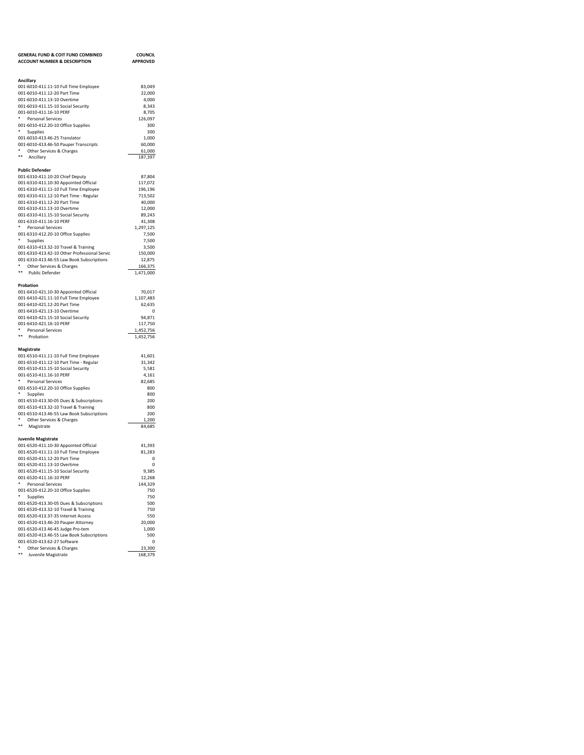| <b>GENERAL FUND &amp; COIT FUND COMBINED</b>                                    | <b>COUNCIL</b>       |
|---------------------------------------------------------------------------------|----------------------|
| <b>ACCOUNT NUMBER &amp; DESCRIPTION</b>                                         | <b>APPROVED</b>      |
|                                                                                 |                      |
|                                                                                 |                      |
| Ancillary<br>001-6010-411.11-10 Full Time Employee                              | 83,049               |
| 001-6010-411.12-20 Part Time                                                    | 22,000               |
| 001-6010-411.13-10 Overtime                                                     | 4,000                |
| 001-6010-411.15-10 Social Security                                              | 8,343                |
| 001-6010-411.16-10 PERF                                                         | 8,705                |
| Personal Services                                                               | 126,097              |
| 001-6010-412.20-10 Office Supplies<br>٠                                         | 300                  |
| Supplies<br>001-6010-413.46-25 Translator                                       | 300<br>1,000         |
| 001-6010-413.46-50 Pauper Transcripts                                           | 60,000               |
| *<br>Other Services & Charges                                                   | 61,000               |
| **<br>Ancillary                                                                 | 187,397              |
|                                                                                 |                      |
| <b>Public Defender</b>                                                          |                      |
| 001-6310-411.10-20 Chief Deputy                                                 | 87.804               |
| 001-6310-411.10-30 Appointed Official                                           | 117,072              |
| 001-6310-411.11-10 Full Time Employee<br>001-6310-411.12-10 Part Time - Regular | 196,196<br>713,502   |
| 001-6310-411.12-20 Part Time                                                    | 40,000               |
| 001-6310-411.13-10 Overtime                                                     | 12,000               |
| 001-6310-411.15-10 Social Security                                              | 89,243               |
| 001-6310-411.16-10 PERF                                                         | 41,308               |
| *<br>Personal Services                                                          | 1,297,125            |
| 001-6310-412.20-10 Office Supplies                                              | 7,500                |
| *<br>Supplies                                                                   | 7,500                |
| 001-6310-413.32-10 Travel & Training                                            | 3,500                |
| 001-6310-413.42-10 Other Professional Servic                                    | 150,000              |
| 001-6310-413.46-55 Law Book Subscriptions<br>Other Services & Charges           | 12,875               |
| **<br>Public Defender                                                           | 166,375<br>1,471,000 |
|                                                                                 |                      |
| Probation                                                                       |                      |
| 001-6410-421.10-30 Appointed Official                                           | 70,017               |
| 001-6410-421.11-10 Full Time Employee                                           | 1,107,483            |
| 001-6410-421.12-20 Part Time                                                    | 62,635               |
| 001-6410-421.13-10 Overtime                                                     | $^{\circ}$           |
| 001-6410-421.15-10 Social Security<br>001-6410-421.16-10 PERF                   | 94,871               |
| Personal Services                                                               | 117,750<br>1,452,756 |
| **<br>Probation                                                                 | 1,452,756            |
|                                                                                 |                      |
| Magistrate                                                                      |                      |
| 001-6510-411.11-10 Full Time Employee                                           | 41,601               |
| 001-6510-411.12-10 Part Time - Regular                                          | 31,342               |
| 001-6510-411.15-10 Social Security                                              | 5,581                |
| 001-6510-411.16-10 PERF<br>Personal Services                                    | 4,161<br>82,685      |
| 001-6510-412.20-10 Office Supplies                                              | 800                  |
| Supplies                                                                        | 800                  |
| 001-6510-413.30-05 Dues & Subscriptions                                         | 200                  |
| 001-6510-413.32-10 Travel & Training                                            | 800                  |
| 001-6510-413.46-55 Law Book Subscriptions                                       | 200                  |
| ٠<br>Other Services & Charges                                                   | 1,200                |
| **<br>Magistrate                                                                | 84,685               |
|                                                                                 |                      |
| Juvenile Magistrate<br>001-6520-411.10-30 Appointed Official                    | 41,393               |
| 001-6520-411.11-10 Full Time Employee                                           | 81,283               |
| 001-6520-411.12-20 Part Time                                                    | 0                    |
| 001-6520-411.13-10 Overtime                                                     | 0                    |
| 001-6520-411.15-10 Social Security                                              | 9,385                |
| 001-6520-411.16-10 PERF                                                         | 12,268               |
| ۰<br><b>Personal Services</b>                                                   | 144,329              |
| 001-6520-412.20-10 Office Supplies<br>۰                                         | 750                  |
| Supplies<br>001-6520-413.30-05 Dues & Subscriptions                             | 750<br>500           |
| 001-6520-413.32-10 Travel & Training                                            | 750                  |
| 001-6520-413.37-35 Internet Access                                              | 550                  |
| 001-6520-413.46-20 Pauper Attorney                                              | 20,000               |
| 001-6520-413.46-45 Judge Pro-tem                                                | 1,000                |
| 001-6520-413.46-55 Law Book Subscriptions                                       | 500                  |
| 001-6520-413.62-27 Software                                                     | 0                    |
| ۰<br>Other Services & Charges<br>**                                             | 23,300               |
| Juvenile Magistrate                                                             | 168,379              |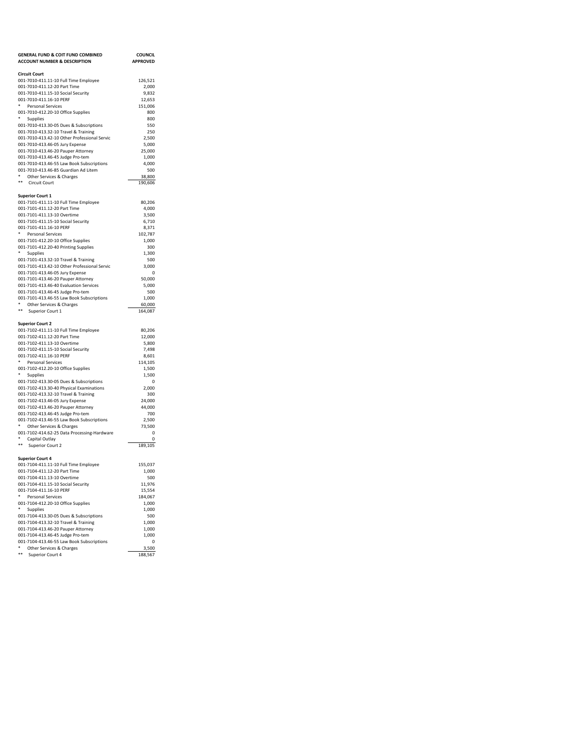| <b>GENERAL FUND &amp; COIT FUND COMBINED</b>                          | <b>COUNCIL</b>   |
|-----------------------------------------------------------------------|------------------|
| <b>ACCOUNT NUMBER &amp; DESCRIPTION</b>                               | <b>APPROVED</b>  |
|                                                                       |                  |
| <b>Circuit Court</b>                                                  |                  |
| 001-7010-411.11-10 Full Time Employee<br>001-7010-411.12-20 Part Time | 126,521          |
| 001-7010-411.15-10 Social Security                                    | 2,000<br>9,832   |
| 001-7010-411.16-10 PERF                                               | 12,653           |
| ٠<br>Personal Services                                                | 151,006          |
| 001-7010-412.20-10 Office Supplies                                    | 800              |
| *<br>Supplies                                                         | 800              |
| 001-7010-413.30-05 Dues & Subscriptions                               | 550              |
| 001-7010-413.32-10 Travel & Training                                  | 250              |
| 001-7010-413.42-10 Other Professional Servic                          | 2,500            |
| 001-7010-413.46-05 Jury Expense                                       | 5,000            |
| 001-7010-413.46-20 Pauper Attorney                                    | 25,000           |
| 001-7010-413.46-45 Judge Pro-tem                                      | 1,000            |
| 001-7010-413.46-55 Law Book Subscriptions                             | 4,000            |
| 001-7010-413.46-85 Guardian Ad Litem<br>۰                             | 500              |
| Other Services & Charges<br>**                                        | 38,800           |
| <b>Circuit Court</b>                                                  | 190,606          |
| <b>Superior Court 1</b>                                               |                  |
| 001-7101-411.11-10 Full Time Employee                                 | 80,206           |
| 001-7101-411.12-20 Part Time                                          | 4,000            |
| 001-7101-411.13-10 Overtime                                           | 3,500            |
| 001-7101-411.15-10 Social Security                                    | 6,710            |
| 001-7101-411.16-10 PERF                                               | 8,371            |
| *<br>Personal Services                                                | 102,787          |
| 001-7101-412.20-10 Office Supplies                                    | 1,000            |
| 001-7101-412.20-40 Printing Supplies                                  | 300              |
| ٠<br>Supplies                                                         | 1,300            |
| 001-7101-413.32-10 Travel & Training                                  | 500              |
| 001-7101-413.42-10 Other Professional Servic                          | 3.000            |
| 001-7101-413.46-05 Jury Expense                                       | 0                |
| 001-7101-413.46-20 Pauper Attorney                                    | 50,000           |
| 001-7101-413.46-40 Evaluation Services                                | 5,000            |
| 001-7101-413.46-45 Judge Pro-tem                                      | 500              |
| 001-7101-413.46-55 Law Book Subscriptions                             | 1,000            |
| * Other Services & Charges                                            | 60,000           |
| **<br>Superior Court 1                                                | 164,087          |
|                                                                       |                  |
| <b>Superior Court 2</b>                                               |                  |
| 001-7102-411.11-10 Full Time Employee                                 | 80,206           |
| 001-7102-411.12-20 Part Time<br>001-7102-411.13-10 Overtime           | 12,000<br>5,800  |
| 001-7102-411.15-10 Social Security                                    | 7,498            |
| 001-7102-411.16-10 PERF                                               | 8,601            |
| ٠.<br>Personal Services                                               | 114,105          |
| 001-7102-412.20-10 Office Supplies                                    | 1,500            |
| ٠<br>Supplies                                                         | 1,500            |
| 001-7102-413.30-05 Dues & Subscriptions                               | 0                |
| 001-7102-413.30-40 Physical Examinations                              | 2,000            |
| 001-7102-413.32-10 Travel & Training                                  | 300              |
| 001-7102-413.46-05 Jury Expense                                       | 24,000           |
| 001-7102-413.46-20 Pauper Attorney                                    | 44,000           |
| 001-7102-413.46-45 Judge Pro-tem                                      | 700              |
| 001-7102-413.46-55 Law Book Subscriptions                             |                  |
|                                                                       | 2.500            |
| ٠<br>Other Services & Charges                                         | 73,500           |
| 001-7102-414.62-25 Data Processing-Hardware                           | 0                |
| ٠<br>Capital Outlav                                                   | 0                |
| $***$<br>Superior Court 2                                             | 189,105          |
|                                                                       |                  |
| <b>Superior Court 4</b>                                               |                  |
| 001-7104-411.11-10 Full Time Employee                                 | 155,037          |
| 001-7104-411.12-20 Part Time                                          | 1,000            |
| 001-7104-411.13-10 Overtime<br>001-7104-411.15-10 Social Security     | 500<br>11,976    |
| 001-7104-411.16-10 PERF                                               | 15,554           |
| ۰<br>Personal Services                                                | 184,067          |
| 001-7104-412.20-10 Office Supplies                                    | 1,000            |
| ۰<br>Supplies                                                         | 1,000            |
| 001-7104-413.30-05 Dues & Subscriptions                               | 500              |
| 001-7104-413.32-10 Travel & Training                                  | 1,000            |
| 001-7104-413.46-20 Pauper Attorney                                    | 1,000            |
| 001-7104-413.46-45 Judge Pro-tem                                      | 1,000            |
| 001-7104-413.46-55 Law Book Subscriptions                             | 0                |
| ۰<br>Other Services & Charges<br>$\ast\ast$<br>Superior Court 4       | 3,500<br>188,567 |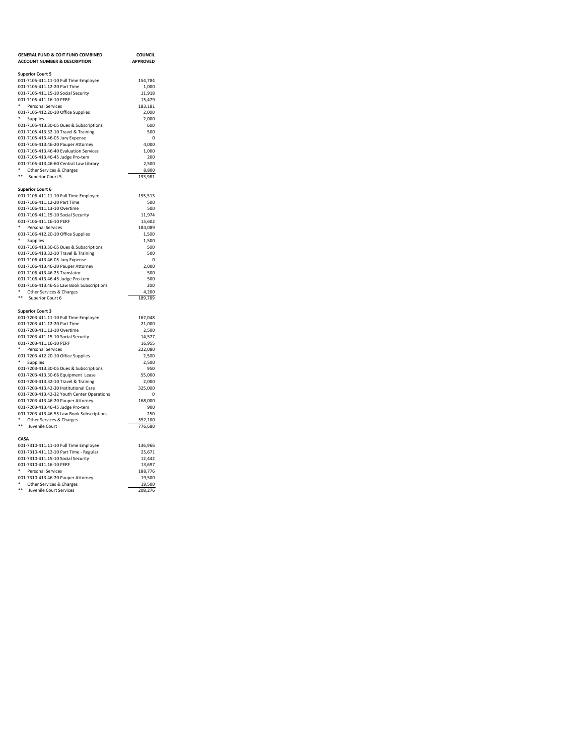| <b>GENERAL FUND &amp; COIT FUND COMBINED</b>                 | <b>COUNCIL</b>    |
|--------------------------------------------------------------|-------------------|
| <b>ACCOUNT NUMBER &amp; DESCRIPTION</b>                      | <b>APPROVED</b>   |
|                                                              |                   |
| <b>Superior Court 5</b>                                      |                   |
| 001-7105-411.11-10 Full Time Employee                        | 154,784           |
| 001-7105-411.12-20 Part Time                                 | 1,000             |
| 001-7105-411.15-10 Social Security                           | 11,918            |
| 001-7105-411.16-10 PERF                                      | 15,479            |
| ٠<br><b>Personal Services</b>                                | 183,181           |
| 001-7105-412.20-10 Office Supplies                           | 2,000             |
| *<br>Supplies                                                | 2,000             |
| 001-7105-413.30-05 Dues & Subscriptions                      | 600               |
| 001-7105-413.32-10 Travel & Training                         | 500               |
| 001-7105-413.46-05 Jury Expense                              | 0                 |
| 001-7105-413.46-20 Pauper Attorney                           | 4,000             |
| 001-7105-413.46-40 Evaluation Services                       | 1,000             |
| 001-7105-413.46-45 Judge Pro-tem                             | 200               |
| 001-7105-413.46-60 Central Law Library<br>$\ast$             | 2,500             |
| Other Services & Charges<br>**                               | 8,800             |
| Superior Court 5                                             | 193,981           |
| <b>Superior Court 6</b>                                      |                   |
| 001-7106-411.11-10 Full Time Employee                        | 155,513           |
| 001-7106-411.12-20 Part Time                                 | 500               |
| 001-7106-411.13-10 Overtime                                  | 500               |
| 001-7106-411.15-10 Social Security                           | 11,974            |
| 001-7106-411.16-10 PERF                                      | 15,602            |
| *<br><b>Personal Services</b>                                | 184,089           |
| 001-7106-412.20-10 Office Supplies                           | 1,500             |
| ٠<br>Supplies                                                | 1,500             |
| 001-7106-413.30-05 Dues & Subscriptions                      | 500               |
| 001-7106-413.32-10 Travel & Training                         | 500               |
| 001-7106-413.46-05 Jury Expense                              | 0                 |
| 001-7106-413.46-20 Pauper Attorney                           | 2,000             |
| 001-7106-413.46-25 Translator                                | 500               |
| 001-7106-413.46-45 Judge Pro-tem                             | 500               |
| 001-7106-413.46-55 Law Book Subscriptions                    | 200               |
| ٠<br>Other Services & Charges                                | 4,200             |
| $***$<br>Superior Court 6                                    | 189,789           |
|                                                              |                   |
| <b>Superior Court 3</b>                                      |                   |
| 001-7203-411.11-10 Full Time Employee                        | 167,048           |
| 001-7203-411.12-20 Part Time                                 | 21,000            |
| 001-7203-411.13-10 Overtime                                  | 2,500             |
| 001-7203-411.15-10 Social Security                           | 14,577            |
| 001-7203-411.16-10 PERF                                      | 16,955            |
| ۰<br>Personal Services                                       | 222,080           |
| 001-7203-412.20-10 Office Supplies                           | 2,500             |
| ۰<br>Supplies                                                | 2,500             |
| 001-7203-413.30-05 Dues & Subscriptions                      | 950               |
| 001-7203-413.30-66 Equipment Lease                           | 55,000            |
| 001-7203-413.32-10 Travel & Training                         | 2,000             |
| 001-7203-413.42-30 Institutional Care                        | 325,000           |
| 001-7203-413.42-32 Youth Center Operations                   | 0                 |
| 001-7203-413.46-20 Pauper Attorney                           | 168,000           |
| 001-7203-413.46-45 Judge Pro-tem                             | 900               |
| 001-7203-413.46-55 Law Book Subscriptions                    | 250               |
| ٠<br>Other Services & Charges                                | 552,100           |
| $\ast\ast$<br>Juvenile Court                                 | 776,680           |
|                                                              |                   |
| CASA                                                         |                   |
| 001-7310-411.11-10 Full Time Employee                        | 136,966           |
| 001-7310-411.12-10 Part Time - Regular                       | 25,671            |
| 001-7310-411.15-10 Social Security                           | 12,442            |
| 001-7310-411.16-10 PERF                                      | 13,697            |
| ٠<br><b>Personal Services</b>                                | 188,776           |
| 001-7310-413.46-20 Pauper Attorney<br>*                      | 19,500            |
| Other Services & Charges<br>$***$<br>Juvenile Court Services | 19,500<br>208.276 |
|                                                              |                   |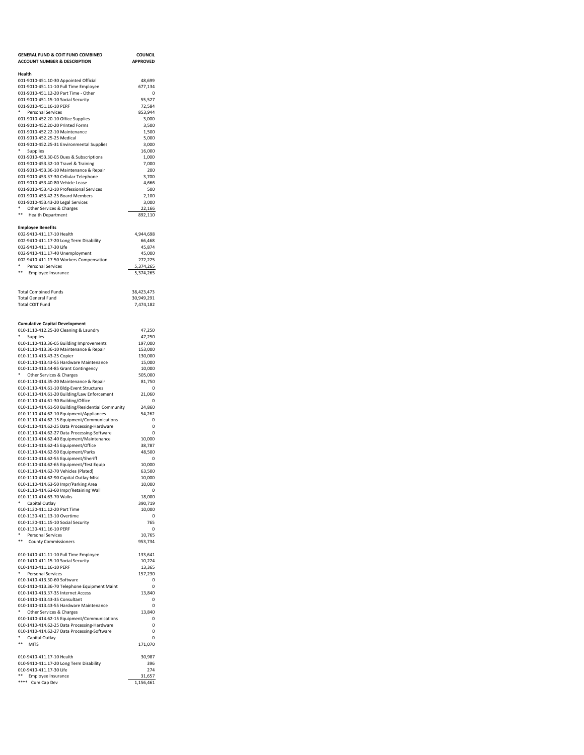| <b>GENERAL FUND &amp; COIT FUND COMBINED</b>                                               | <b>COUNCIL</b>           |
|--------------------------------------------------------------------------------------------|--------------------------|
| <b>ACCOUNT NUMBER &amp; DESCRIPTION</b>                                                    | <b>APPROVED</b>          |
| Health                                                                                     |                          |
| 001-9010-451.10-30 Appointed Official                                                      | 48,699                   |
| 001-9010-451.11-10 Full Time Employee<br>001-9010-451.12-20 Part Time - Other              | 677,134<br>$\mathbf 0$   |
| 001-9010-451.15-10 Social Security                                                         | 55,527                   |
| 001-9010-451.16-10 PERF                                                                    | 72.584                   |
| Personal Services                                                                          | 853,944<br>3.000         |
| 001-9010-452.20-10 Office Supplies<br>001-9010-452.20-20 Printed Forms                     | 3,500                    |
| 001-9010-452.22-10 Maintenance                                                             | 1,500                    |
| 001-9010-452.25-25 Medical                                                                 | 5,000                    |
| 001-9010-452.25-31 Environmental Supplies<br>Supplies                                      | 3,000<br>16,000          |
| 001-9010-453.30-05 Dues & Subscriptions                                                    | 1,000                    |
| 001-9010-453.32-10 Travel & Training                                                       | 7,000                    |
| 001-9010-453.36-10 Maintenance & Repair<br>001-9010-453.37-30 Cellular Telephone           | 200<br>3,700             |
| 001-9010-453.40-80 Vehicle Lease                                                           | 4,666                    |
| 001-9010-453.42-10 Professional Services                                                   | 500                      |
| 001-9010-453.42-25 Board Members                                                           | 2,100                    |
| 001-9010-453.43-20 Legal Services<br>*<br>Other Services & Charges                         | 3,000<br>22,166          |
| **<br><b>Health Department</b>                                                             | 892,110                  |
|                                                                                            |                          |
| <b>Employee Benefits</b>                                                                   |                          |
| 002-9410-411.17-10 Health<br>002-9410-411.17-20 Long Term Disability                       | 4,944,698<br>66,468      |
| 002-9410-411.17-30 Life                                                                    | 45,874                   |
| 002-9410-411.17-40 Unemployment                                                            | 45,000                   |
| 002-9410-411.17-50 Workers Compensation<br>٠<br>Personal Services                          | 272,225<br>5,374,265     |
| **<br>Employee Insurance                                                                   | 5,374,265                |
|                                                                                            |                          |
|                                                                                            |                          |
| <b>Total Combined Funds</b><br><b>Total General Fund</b>                                   | 38.423.473<br>30,949,291 |
| <b>Total COIT Fund</b>                                                                     | 7,474,182                |
|                                                                                            |                          |
|                                                                                            |                          |
| <b>Cumulative Capital Development</b><br>010-1110-412.25-30 Cleaning & Laundry             | 47,250                   |
| ٠<br>Supplies                                                                              | 47,250                   |
| 010-1110-413.36-05 Building Improvements                                                   | 197,000                  |
| 010-1110-413.36-10 Maintenance & Repair<br>010-1110-413.43-25 Copier                       | 153,000<br>130,000       |
| 010-1110-413.43-55 Hardware Maintenance                                                    | 15,000                   |
| 010-1110-413.44-85 Grant Contingency                                                       | 10,000                   |
| *<br>Other Services & Charges                                                              | 505,000                  |
| 010-1110-414.35-20 Maintenance & Repair<br>010-1110-414.61-10 Bldg-Event Structures        | 81,750<br>0              |
| 010-1110-414.61-20 Building/Law Enforcement                                                | 21,060                   |
| 010-1110-414.61-30 Building/Office                                                         | 0                        |
| 010-1110-414.61-50 Building/Residential Community                                          | 24,860                   |
| 010-1110-414.62-10 Equipment/Appliances<br>010-1110-414.62-15 Equipment/Communications     | 54,262<br>0              |
| 010-1110-414.62-25 Data Processing-Hardware                                                | 0                        |
| 010-1110-414.62-27 Data Processing-Software                                                | 0                        |
| 010-1110-414.62-40 Equipment/Maintenance<br>010-1110-414.62-45 Equipment/Office            | 10,000<br>38,787         |
| 010-1110-414.62-50 Equipment/Parks                                                         | 48,500                   |
| 010-1110-414.62-55 Equipment/Sheriff                                                       | 0                        |
| 010-1110-414.62-65 Equipment/Test Equip                                                    | 10,000                   |
| 010-1110-414.62-70 Vehicles (Plated)<br>010-1110-414.62-90 Capital Outlay-Misc             | 63,500<br>10.000         |
| 010-1110-414.63-50 Impr/Parking Area                                                       | 10,000                   |
| 010-1110-414.63-60 Impr/Retaining Wall                                                     | 0                        |
| 010-1110-414.63-70 Walks<br>۰<br>Capital Outlay                                            | 18,000<br>390,719        |
| 010-1130-411.12-20 Part Time                                                               | 10,000                   |
| 010-1130-411.13-10 Overtime                                                                | 0                        |
| 010-1130-411.15-10 Social Security                                                         | 765                      |
| 010-1130-411.16-10 PERF<br>۰<br><b>Personal Services</b>                                   | 0<br>10,765              |
| **<br><b>County Commissioners</b>                                                          | 953,734                  |
|                                                                                            |                          |
| 010-1410-411.11-10 Full Time Employee                                                      | 133,641                  |
| 010-1410-411.15-10 Social Security<br>010-1410-411.16-10 PERF                              | 10,224<br>13,365         |
| <b>Personal Services</b>                                                                   | 157,230                  |
| 010-1410-413.30-60 Software                                                                | 0                        |
| 010-1410-413.36-70 Telephone Equipment Maint<br>010-1410-413.37-35 Internet Access         | 0<br>13,840              |
| 010-1410-413.43-35 Consultant                                                              | 0                        |
| 010-1410-413.43-55 Hardware Maintenance                                                    | 0                        |
| *<br>Other Services & Charges                                                              | 13,840                   |
| 010-1410-414.62-15 Equipment/Communications<br>010-1410-414.62-25 Data Processing-Hardware | 0<br>0                   |
| 010-1410-414.62-27 Data Processing-Software                                                | 0                        |
| ٠<br>Capital Outlay                                                                        | $\Omega$                 |
| **<br><b>MITS</b>                                                                          | 171,070                  |
| 010-9410-411.17-10 Health                                                                  | 30,987                   |
| 010-9410-411.17-20 Long Term Disability                                                    | 396                      |
| 010-9410-411.17-30 Life                                                                    | 274                      |
| ** Employee Insurance<br>**** Cum Cap Dev                                                  | 31,657<br>1,156,461      |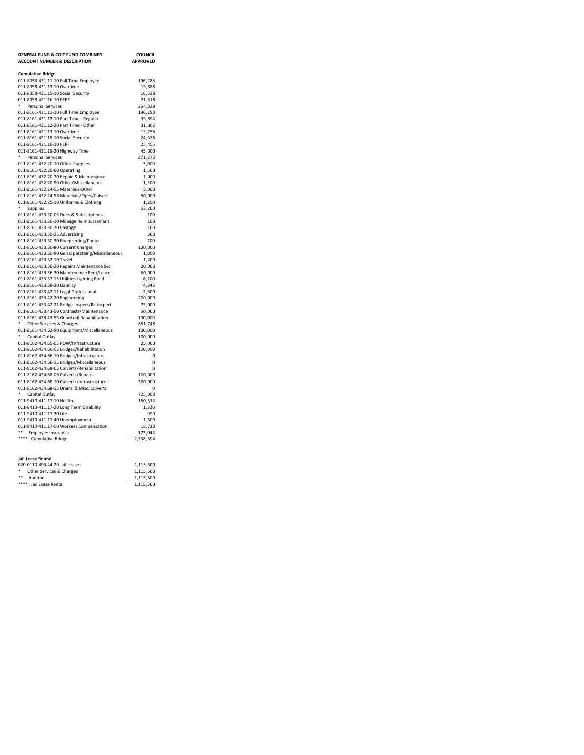| <b>GENERAL FUND &amp; COIT FUND COMBINED</b><br><b>ACCOUNT NUMBER &amp; DESCRIPTION</b> | <b>COUNCIL</b><br><b>APPROVED</b> |
|-----------------------------------------------------------------------------------------|-----------------------------------|
| <b>Cumulative Bridge</b>                                                                |                                   |
| 011-8058-431.11-10 Full Time Employee                                                   | 196,285                           |
| 011-8058-431.13-10 Overtime                                                             | 19,888                            |
| 011-8058-431.15-10 Social Security                                                      | 16,538                            |
| 011-8058-431.16-10 PERF                                                                 | 21,618                            |
| ٠<br><b>Personal Services</b>                                                           | 254,329                           |
| 011-8161-431.11-10 Full Time Employee                                                   | 196,290                           |
| 011-8161-431.12-10 Part Time - Regular                                                  | 35,694                            |
| 011-8161-431.12-20 Part Time - Other                                                    | 31,002                            |
| 011-8161-431.13-10 Overtime                                                             | 13,256                            |
| 011-8161-431.15-10 Social Security                                                      | 24,576                            |
| 011-8161-431.16-10 PERF<br>011-8161-431.19-20 Highway Time                              | 25,455<br>45,000                  |
| ٠<br>Personal Services                                                                  | 371,273                           |
| 011-8161-432.20-10 Office Supplies                                                      | 3,000                             |
| 011-8161-432.20-60 Operating                                                            | 1,500                             |
| 011-8161-432.20-70 Repair & Maintenance                                                 | 1,000                             |
| 011-8161-432.20-90 Office/Miscellaneous                                                 | 1,500                             |
| 011-8161-432.24-55 Materials-Other                                                      | 5,000                             |
| 011-8161-432.24-56 Materials/Pipes/Culvert                                              | 50,000                            |
| 011-8161-432.25-10 Uniforms & Clothing                                                  | 1,200                             |
| Supplies                                                                                | 63,200                            |
| 011-8161-433.30-05 Dues & Subscriptions                                                 | 100                               |
| 011-8161-433.30-10 Mileage Reimbursement                                                | 100                               |
| 011-8161-433.30-20 Postage                                                              | 100                               |
| 011-8161-433.30-25 Advertising                                                          | 500                               |
| 011-8161-433.30-30 Blueprinting/Photo                                                   | 200                               |
| 011-8161-433.30-80 Current Charges                                                      | 130,000                           |
| 011-8161-433.30-90 Gen Operataing/Miscellaneous                                         | 1,000                             |
| 011-8161-433.32-10 Travel                                                               | 1,200                             |
| 011-8161-433.36-20 Repairs Maintenance Svc                                              | 20,000                            |
| 011-8161-433.36-30 Maintenance Rent/Lease                                               | 60,000                            |
| 011-8161-433.37-15 Utilities-Lighting Road                                              | 6,200                             |
| 011-8161-433.38-20 Liability                                                            | 4,848                             |
| 011-8161-433.42-11 Legal Professional                                                   | 2,500                             |
| 011-8161-433.42-20 Engineering<br>011-8161-433.42-21 Bridge Inspect/Re-inspect          | 200,000<br>75,000                 |
| 011-8161-433.43-50 Contracts/Maintenance                                                | 50,000                            |
| 011-8161-433.43-53 Guardrail Rehabilitation                                             | 100,000                           |
| ٠<br>Other Services & Charges                                                           | 651,748                           |
| 011-8161-434.62-90 Equipment/Miscellaneous                                              | 100,000                           |
| ٠<br>Capital Outlay                                                                     | 100,000                           |
| 011-8162-434.65-05 ROW/Infrastructure                                                   | 25,000                            |
| 011-8162-434.66-05 Bridges/Rehabilitation                                               | 100,000                           |
| 011-8162-434.66-10 Bridges/Infrastructure                                               | 0                                 |
| 011-8162-434.66-15 Bridges/Miscellaneous                                                | 0                                 |
| 011-8162-434.68-05 Culverts/Rehabilitation                                              | 0                                 |
| 011-8162-434.68-06 Culverts/Repairs                                                     | 100,000                           |
| 011-8162-434.68-10 Culverts/Infrastructure                                              | 500,000                           |
| 011-8162-434.68-15 Drains & Misc. Culverts                                              | 0                                 |
| ٠<br>Capital Outlay                                                                     | 725,000                           |
| 011-9410-411.17-10 Health                                                               | 150,514                           |
| 011-9410-411.17-20 Long Term Disability                                                 | 1,320                             |
| 011-9410-411.17-30 Life                                                                 | 990                               |
| 011-9410-411.17-40 Unemployment                                                         | 1,500                             |
| 011-9410-411.17-50 Workers Compensation                                                 | 18,720                            |
| ** Employee Insurance<br>**** Cumulative Bridge                                         | 173,044<br>2,338,594              |
|                                                                                         |                                   |
|                                                                                         |                                   |

| Jail Lease Rental             |           |
|-------------------------------|-----------|
| 020-0110-493.44-20 Jail Lease | 1.115.500 |
| Other Services & Charges      | 1.115.500 |
| **<br>Auditor                 | 1.115.500 |
| **** Jail Lease Rental        | 1.115.500 |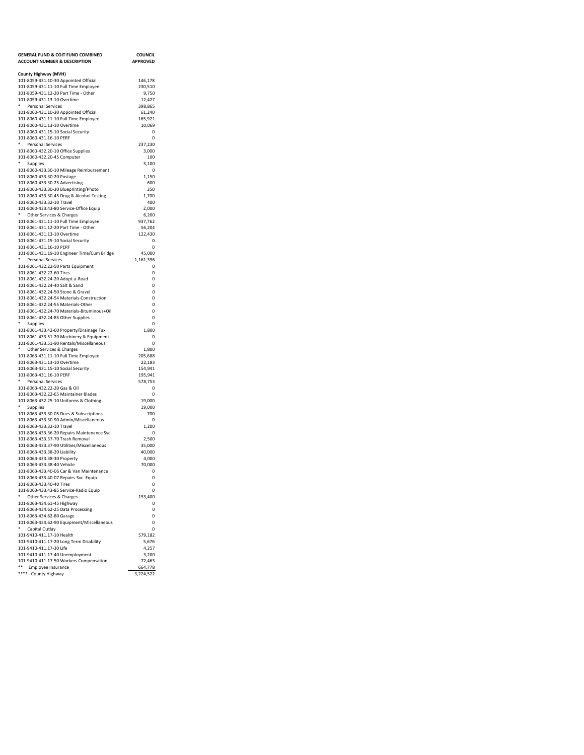| <b>GENERAL FUND &amp; COIT FUND COMBINED</b>                                    | <b>COUNCIL</b>     |
|---------------------------------------------------------------------------------|--------------------|
| <b>ACCOUNT NUMBER &amp; DESCRIPTION</b>                                         | <b>APPROVED</b>    |
|                                                                                 |                    |
| County Highway (MVH)<br>101-8059-431.10-30 Appointed Official                   | 146,178            |
| 101-8059-431.11-10 Full Time Employee                                           | 230,510            |
| 101-8059-431.12-20 Part Time - Other                                            | 9,750              |
| 101-8059-431.13-10 Overtime                                                     | 12.427             |
| Personal Services                                                               | 398,865            |
| 101-8060-431.10-30 Appointed Official                                           | 61,240             |
| 101-8060-431.11-10 Full Time Employee                                           | 165,921            |
| 101-8060-431.13-10 Overtime                                                     | 10,069             |
| 101-8060-431.15-10 Social Security                                              | 0                  |
| 101-8060-431.16-10 PERF<br>۰<br><b>Personal Services</b>                        | 0                  |
| 101-8060-432.20-10 Office Supplies                                              | 237,230<br>3,000   |
| 101-8060-432.20-45 Computer                                                     | 100                |
| Supplies                                                                        | 3,100              |
| 101-8060-433.30-10 Mileage Reimbursement                                        | 0                  |
| 101-8060-433.30-20 Postage                                                      | 1,150              |
| 101-8060-433.30-25 Advertising                                                  | 600                |
| 101-8060-433.30-30 Blueprinting/Photo                                           | 350                |
| 101-8060-433.30-45 Drug & Alcohol Testing                                       | 1,700              |
| 101-8060-433.32-10 Travel                                                       | 400                |
| 101-8060-433.43-80 Service-Office Equip                                         | 2,000              |
| Other Services & Charges                                                        | 6,200              |
| 101-8061-431.11-10 Full Time Employee<br>101-8061-431.12-20 Part Time - Other   | 937,762<br>56,204  |
| 101-8061-431.13-10 Overtime                                                     | 122,430            |
| 101-8061-431.15-10 Social Security                                              | 0                  |
| 101-8061-431.16-10 PERF                                                         | 0                  |
| 101-8061-431.19-10 Engineer Time/Cum Bridge                                     | 45,000             |
| ٠<br><b>Personal Services</b>                                                   | 1,161,396          |
| 101-8061-432.22-50 Parts Equipment                                              | $\Omega$           |
| 101-8061-432.22-60 Tires                                                        | 0                  |
| 101-8061-432.24-20 Adopt-a-Road                                                 | 0                  |
| 101-8061-432.24-40 Salt & Sand                                                  | 0                  |
| 101-8061-432.24-50 Stone & Gravel                                               | 0                  |
| 101-8061-432.24-54 Materials-Construction<br>101-8061-432.24-55 Materials-Other | 0                  |
| 101-8061-432.24-70 Materials-Bituminous+Oil                                     | 0<br>0             |
| 101-8061-432.24-85 Other Supplies                                               | 0                  |
| ۰<br>Supplies                                                                   | 0                  |
| 101-8061-433.42-60 Property/Drainage Tax                                        | 1,800              |
| 101-8061-433.51-20 Machinery & Equipment                                        | 0                  |
| 101-8061-433.51-90 Rentals/Miscellaneous                                        | 0                  |
| Other Services & Charges                                                        | 1,800              |
| 101-8063-431.11-10 Full Time Employee                                           | 205,688            |
| 101-8063-431.13-10 Overtime                                                     | 22,183             |
| 101-8063-431.15-10 Social Security                                              | 154,941            |
| 101-8063-431.16-10 PERF<br>۰<br>Personal Services                               | 195,941<br>578,753 |
| 101-8063-432.22-20 Gas & Oil                                                    | $\Omega$           |
| 101-8063-432.22-65 Maintainer Blades                                            | 0                  |
| 101-8063-432.25-10 Uniforms & Clothing                                          | 19,000             |
| ۰<br>Supplies                                                                   | 19,000             |
| 101-8063-433.30-05 Dues & Subscriptions                                         | 700                |
| 101-8063-433.30-90 Admin/Miscellaneous                                          | 0                  |
| 101-8063-433.32-10 Travel                                                       | 1,200              |
| 101-8063-433.36-20 Repairs Maintenance Svc                                      | 0                  |
| 101-8063-433.37-70 Trash Removal                                                | 2.500              |
| 101-8063-433.37-90 Utilities/Miscellaneous                                      | 35,000<br>40.000   |
| 101-8063-433.38-20 Liability<br>101-8063-433.38-30 Property                     | 4,000              |
| 101-8063-433.38-40 Vehicle                                                      | 70,000             |
| 101-8063-433.40-06 Car & Van Maintenance                                        | 0                  |
| 101-8063-433.40-07 Repairs-Svc. Equip                                           | 0                  |
| 101-8063-433.40-40 Tires                                                        | 0                  |
| 101-8063-433.43-85 Service-Radio Equip                                          | 0                  |
| Other Services & Charges                                                        | 153,400            |
| 101-8063-434.61-45 Highway                                                      | 0                  |
| 101-8063-434.62-25 Data Processing                                              | $\Omega$           |
| 101-8063-434.62-80 Garage                                                       | 0                  |
| 101-8063-434.62-90 Equipment/Miscellaneous<br>۰                                 | $\Omega$<br>0      |
| Capital Outlay<br>101-9410-411.17-10 Health                                     | 579,182            |
| 101-9410-411.17-20 Long Term Disability                                         | 5,676              |
| 101-9410-411.17-30 Life                                                         | 4,257              |
| 101-9410-411.17-40 Unemployment                                                 | 3,200              |
| 101-9410-411.17-50 Workers Compensation                                         | 72,463             |
| ** Employee Insurance                                                           | 664,778            |
| **** County Highway                                                             | 3,224,522          |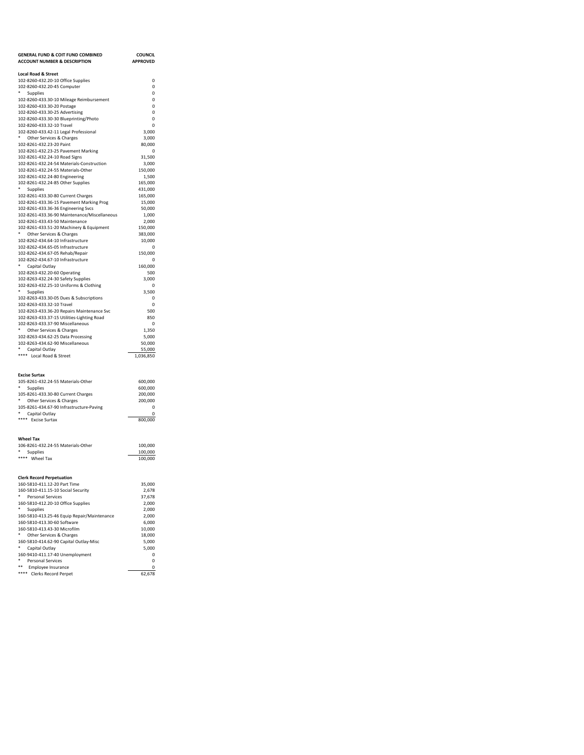| <b>GENERAL FUND &amp; COIT FUND COMBINED</b>                                    | <b>COUNCIL</b>    |
|---------------------------------------------------------------------------------|-------------------|
| <b>ACCOUNT NUMBER &amp; DESCRIPTION</b>                                         | <b>APPROVED</b>   |
| <b>Local Road &amp; Street</b>                                                  |                   |
| 102-8260-432.20-10 Office Supplies                                              | 0                 |
| 102-8260-432.20-45 Computer                                                     | 0                 |
| *<br>Supplies                                                                   | 0                 |
| 102-8260-433.30-10 Mileage Reimbursement                                        | 0                 |
| 102-8260-433.30-20 Postage                                                      | 0                 |
| 102-8260-433.30-25 Advertising                                                  | $\Omega$          |
| 102-8260-433.30-30 Blueprinting/Photo<br>102-8260-433.32-10 Travel              | 0<br>0            |
| 102-8260-433.42-11 Legal Professional                                           | 3,000             |
| *<br>Other Services & Charges                                                   | 3,000             |
| 102-8261-432.23-20 Paint                                                        | 80,000            |
| 102-8261-432.23-25 Pavement Marking                                             | 0                 |
| 102-8261-432.24-10 Road Signs                                                   | 31,500            |
| 102-8261-432.24-54 Materials-Construction<br>102-8261-432.24-55 Materials-Other | 3,000<br>150,000  |
| 102-8261-432.24-80 Engineering                                                  | 1,500             |
| 102-8261-432.24-85 Other Supplies                                               | 165,000           |
| ٠<br>Supplies                                                                   | 431,000           |
| 102-8261-433.30-80 Current Charges                                              | 165,000           |
| 102-8261-433.36-15 Pavement Marking Prog                                        | 15,000            |
| 102-8261-433.36-36 Engineering Svcs                                             | 50,000            |
| 102-8261-433.36-90 Maintenance/Miscellaneous<br>102-8261-433.43-50 Maintenance  | 1,000<br>2,000    |
| 102-8261-433.51-20 Machinery & Equipment                                        | 150,000           |
| ٠<br>Other Services & Charges                                                   | 383,000           |
| 102-8262-434.64-10 Infrastructure                                               | 10,000            |
| 102-8262-434.65-05 Infrastructure                                               | $^{\circ}$        |
| 102-8262-434.67-05 Rehab/Repair                                                 | 150.000           |
| 102-8262-434.67-10 Infrastructure                                               | 0                 |
| Capital Outlay                                                                  | 160,000           |
| 102-8263-432.20-60 Operating<br>102-8263-432.24-30 Safety Supplies              | 500<br>3,000      |
| 102-8263-432.25-10 Uniforms & Clothing                                          | $^{\circ}$        |
| *<br>Supplies                                                                   | 3,500             |
| 102-8263-433.30-05 Dues & Subscriptions                                         | $\Omega$          |
| 102-8263-433.32-10 Travel                                                       | 0                 |
| 102-8263-433.36-20 Repairs Maintenance Svc                                      | 500               |
| 102-8263-433.37-15 Utilities-Lighting Road                                      | 850<br>$^{\circ}$ |
| 102-8263-433.37-90 Miscellaneous<br>* Other Services & Charges                  | 1,350             |
| 102-8263-434.62-25 Data Processing                                              | 5,000             |
| 102-8263-434.62-90 Miscellaneous                                                | 50,000            |
| * Capital Outlay                                                                | 55,000            |
| **** Local Road & Street                                                        | 1,036,850         |
|                                                                                 |                   |
| <b>Excise Surtax</b>                                                            |                   |
| 105-8261-432.24-55 Materials-Other                                              | 600,000           |
| *<br>Supplies                                                                   | 600,000           |
| 105-8261-433.30-80 Current Charges                                              | 200,000           |
| * Other Services & Charges                                                      | 200,000           |
| 105-8261-434.67-90 Infrastructure-Paving                                        | 0                 |
| * Capital Outlay<br>**** Excise Surtax                                          | 0<br>800,000      |
|                                                                                 |                   |
|                                                                                 |                   |
| <b>Wheel Tax</b>                                                                |                   |
| 106-8261-432.24-55 Materials-Other                                              | 100,000           |
| * Supplies                                                                      | 100,000           |
| **** Wheel Tax                                                                  | 100,000           |
|                                                                                 |                   |
| <b>Clerk Record Perpetuation</b>                                                |                   |
| 160-5810-411.12-20 Part Time                                                    | 35,000            |
| 160-5810-411.15-10 Social Security                                              | 2,678             |
| Personal Services                                                               | 37,678            |
| 160-5810-412.20-10 Office Supplies<br>۰<br>Supplies                             | 2,000             |
| 160-5810-413.25-46 Equip Repair/Maintenance                                     | 2,000<br>2,000    |
| 160-5810-413.30-60 Software                                                     | 6,000             |
| 160-5810-413.43-30 Microfilm                                                    | 10,000            |
| ۰<br>Other Services & Charges                                                   | 18,000            |
| 160-5810-414.62-90 Capital Outlay-Misc                                          | 5,000             |
| ۰<br>Capital Outlay                                                             | 5,000             |
| 160-9410-411.17-40 Unemployment<br>۰<br><b>Personal Services</b>                | 0<br>0            |
| **<br>Employee Insurance                                                        | 0                 |
| **** Clerks Record Perpet                                                       | 62.678            |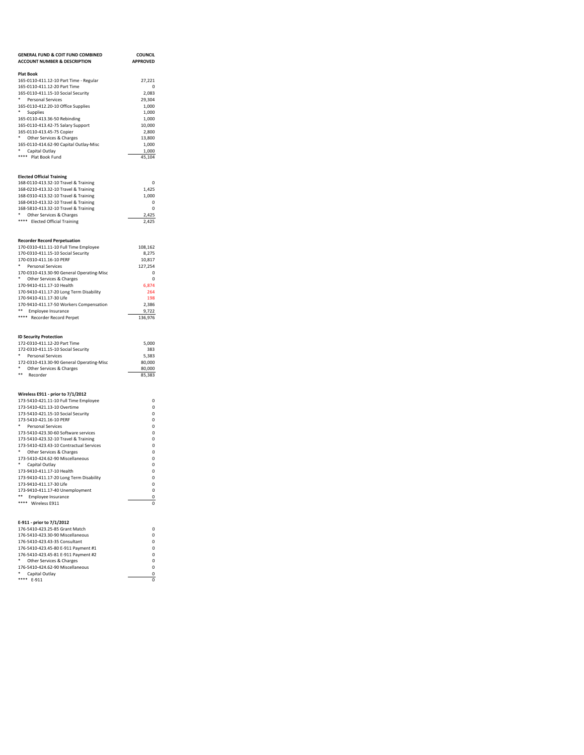| <b>GENERAL FUND &amp; COIT FUND COMBINED</b><br><b>ACCOUNT NUMBER &amp; DESCRIPTION</b> | <b>COUNCIL</b><br><b>APPROVED</b> |
|-----------------------------------------------------------------------------------------|-----------------------------------|
|                                                                                         |                                   |
| <b>Plat Book</b>                                                                        |                                   |
| 165-0110-411.12-10 Part Time - Regular<br>165-0110-411.12-20 Part Time                  | 27,221<br>$\Omega$                |
| 165-0110-411.15-10 Social Security                                                      | 2,083                             |
| * Personal Services                                                                     | 29,304                            |
| 165-0110-412.20-10 Office Supplies                                                      | 1,000                             |
| * Supplies                                                                              | 1,000                             |
| 165-0110-413.36-50 Rebinding<br>165-0110-413.42-75 Salary Support                       | 1,000<br>10,000                   |
| 165-0110-413.45-75 Copier                                                               | 2,800                             |
| * Other Services & Charges                                                              | 13,800                            |
| 165-0110-414.62-90 Capital Outlay-Misc                                                  | 1,000                             |
| * Capital Outlay<br>**** Plat Book Fund                                                 | 1,000<br>45,104                   |
|                                                                                         |                                   |
| <b>Elected Official Training</b>                                                        |                                   |
| 168-0110-413.32-10 Travel & Training                                                    | $\Omega$                          |
| 168-0210-413.32-10 Travel & Training<br>168-0310-413.32-10 Travel & Training            | 1,425<br>1,000                    |
| 168-0410-413.32-10 Travel & Training                                                    | 0                                 |
| 168-5810-413.32-10 Travel & Training                                                    | $\Omega$                          |
| * Other Services & Charges                                                              | 2,425                             |
| **** Elected Official Training                                                          | 2,425                             |
|                                                                                         |                                   |
| <b>Recorder Record Perpetuation</b><br>170-0310-411.11-10 Full Time Employee            | 108,162                           |
| 170-0310-411.15-10 Social Security                                                      | 8,275                             |
| 170-0310-411.16-10 PERF                                                                 | 10,817                            |
| * Personal Services                                                                     | 127,254                           |
| 170-0310-413.30-90 General Operating-Misc                                               | 0                                 |
| * Other Services & Charges<br>170-9410-411.17-10 Health                                 | 0<br>6,874                        |
| 170-9410-411.17-20 Long Term Disability                                                 | 264                               |
| 170-9410-411.17-30 Life                                                                 | 198                               |
| 170-9410-411.17-50 Workers Compensation                                                 | 2,386                             |
| ** Employee Insurance                                                                   | 9,722                             |
| **** Recorder Record Perpet                                                             | 136,976                           |
| <b>ID Security Protection</b>                                                           |                                   |
| 172-0310-411.12-20 Part Time                                                            | 5,000                             |
| 172-0310-411.15-10 Social Security                                                      | 383                               |
| * Personal Services                                                                     | 5,383                             |
| 172-0310-413.30-90 General Operating-Misc<br>٠<br>Other Services & Charges              | 80,000<br>80,000                  |
| $***$<br>Recorder                                                                       | 85,383                            |
|                                                                                         |                                   |
| Wireless E911 - prior to 7/1/2012                                                       |                                   |
| 173-5410-421.11-10 Full Time Employee                                                   | 0                                 |
| 173-5410-421.13-10 Overtime                                                             | $\Omega$                          |
| 173-5410-421.15-10 Social Security                                                      | 0<br>$\Omega$                     |
| 173-5410-421.16-10 PERF<br>۰.<br><b>Personal Services</b>                               | 0                                 |
| 173-5410-423.30-60 Software services                                                    | 0                                 |
| 173-5410-423.32-10 Travel & Training                                                    | 0                                 |
| 173-5410-423.43-10 Contractual Services                                                 | 0                                 |
| * Other Services & Charges                                                              | 0                                 |
| 173-5410-424.62-90 Miscellaneous<br>* Capital Outlay                                    | 0<br>0                            |
| 173-9410-411.17-10 Health                                                               | 0                                 |
| 173-9410-411.17-20 Long Term Disability                                                 | 0                                 |
| 173-9410-411.17-30 Life                                                                 | 0                                 |
| 173-9410-411.17-40 Unemployment                                                         | 0                                 |
| ** Employee Insurance<br>****<br>Wireless E911                                          | 0<br>$\Omega$                     |
|                                                                                         |                                   |
| E-911 - prior to 7/1/2012                                                               |                                   |
| 176-5410-423.25-85 Grant Match                                                          | $\Omega$                          |
| 176-5410-423.30-90 Miscellaneous                                                        | 0                                 |
| 176-5410-423.43-35 Consultant<br>176-5410-423.45-80 E-911 Payment #1                    | 0<br>0                            |
| 176-5410-423.45-81 E-911 Payment #2                                                     | 0                                 |
| ۰<br>Other Services & Charges                                                           | 0                                 |
| 176-5410-424.62-90 Miscellaneous                                                        | 0                                 |
| ۰<br>Capital Outlay<br>**** E-911                                                       | 0<br>0                            |
|                                                                                         |                                   |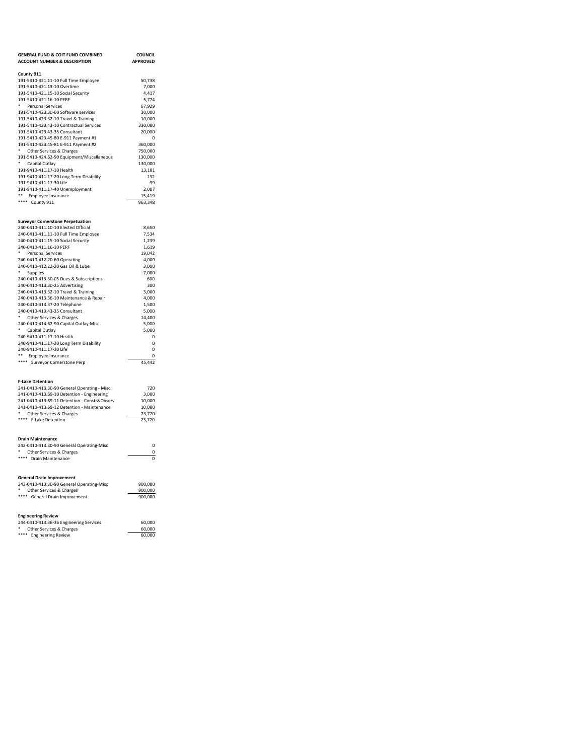| <b>GENERAL FUND &amp; COIT FUND COMBINED</b><br><b>ACCOUNT NUMBER &amp; DESCRIPTION</b> | <b>COUNCIL</b><br><b>APPROVED</b> |
|-----------------------------------------------------------------------------------------|-----------------------------------|
| County 911                                                                              |                                   |
| 191-5410-421.11-10 Full Time Employee                                                   | 50,738                            |
| 191-5410-421.13-10 Overtime                                                             | 7,000                             |
| 191-5410-421.15-10 Social Security                                                      | 4,417                             |
| 191-5410-421.16-10 PERF                                                                 | 5,774                             |
| * Personal Services                                                                     | 67,929                            |
| 191-5410-423.30-60 Software services                                                    | 30,000                            |
| 191-5410-423.32-10 Travel & Training<br>191-5410-423.43-10 Contractual Services         | 10,000<br>330,000                 |
| 191-5410-423.43-35 Consultant                                                           | 20,000                            |
| 191-5410-423.45-80 E-911 Payment #1                                                     | $\Omega$                          |
| 191-5410-423.45-81 E-911 Payment #2                                                     | 360,000                           |
| * Other Services & Charges                                                              | 750,000                           |
| 191-5410-424.62-90 Equipment/Miscellaneous                                              | 130,000                           |
| * Capital Outlay<br>191-9410-411.17-10 Health                                           | 130,000<br>13,181                 |
| 191-9410-411.17-20 Long Term Disability                                                 | 132                               |
| 191-9410-411.17-30 Life                                                                 | 99                                |
| 191-9410-411.17-40 Unemployment                                                         | 2,007                             |
| ** Employee Insurance                                                                   | 15,419                            |
| **** County 911                                                                         | 963,348                           |
| <b>Surveyor Cornerstone Perpetuation</b>                                                |                                   |
| 240-0410-411.10-10 Elected Official                                                     | 8,650                             |
| 240-0410-411.11-10 Full Time Employee                                                   | 7,534                             |
| 240-0410-411.15-10 Social Security                                                      | 1,239                             |
| 240-0410-411.16-10 PERF                                                                 | 1,619                             |
| * Personal Services                                                                     | 19.042                            |
| 240-0410-412.20-60 Operating<br>240-0410-412.22-20 Gas Oil & Lube                       | 4.000<br>3,000                    |
| * Supplies                                                                              | 7,000                             |
| 240-0410-413.30-05 Dues & Subscriptions                                                 | 600                               |
| 240-0410-413.30-25 Advertising                                                          | 300                               |
| 240-0410-413.32-10 Travel & Training                                                    | 3,000                             |
| 240-0410-413.36-10 Maintenance & Repair                                                 | 4,000                             |
| 240-0410-413.37-20 Telephone                                                            | 1,500                             |
| 240-0410-413.43-35 Consultant                                                           | 5,000                             |
| * Other Services & Charges<br>240-0410-414.62-90 Capital Outlay-Misc                    | 14,400<br>5,000                   |
| * Capital Outlay                                                                        | 5,000                             |
| 240-9410-411.17-10 Health                                                               | $\mathbf 0$                       |
| 240-9410-411.17-20 Long Term Disability                                                 | $\mathbf 0$                       |
| 240-9410-411.17-30 Life                                                                 | $\mathbf 0$                       |
| ** Employee Insurance<br>****                                                           | $\mathbf 0$                       |
| Surveyor Cornerstone Perp                                                               | 45,442                            |
| <b>F-Lake Detention</b>                                                                 |                                   |
| 241-0410-413.30-90 General Operating - Misc                                             | 720                               |
| 241-0410-413.69-10 Detention - Engineering                                              | 3,000                             |
| 241-0410-413.69-11 Detention - Constr&Observ                                            | 10,000                            |
| 241-0410-413.69-12 Detention - Maintenance<br>Other Services & Charges                  | 10,000<br>23,720                  |
| **** F-Lake Detention                                                                   | 23,720                            |
|                                                                                         |                                   |
| <b>Drain Maintenance</b>                                                                |                                   |
| 242-0410-413.30-90 General Operating-Misc<br>Other Services & Charges                   | $\mathbf 0$<br>0                  |
| **** Drain Maintenance                                                                  | $\Omega$                          |
|                                                                                         |                                   |
| <b>General Drain Improvement</b><br>243-0410-413.30-90 General Operating-Misc           | 900,000                           |
| * Other Services & Charges                                                              | 900,000                           |
| **** General Drain Improvement                                                          | 900,000                           |
|                                                                                         |                                   |
| <b>Engineering Review</b><br>244-0410-413.36-36 Engineering Services                    | 60,000                            |
| Other Services & Charges                                                                | 60,000                            |
| ****<br><b>Engineering Review</b>                                                       | 60,000                            |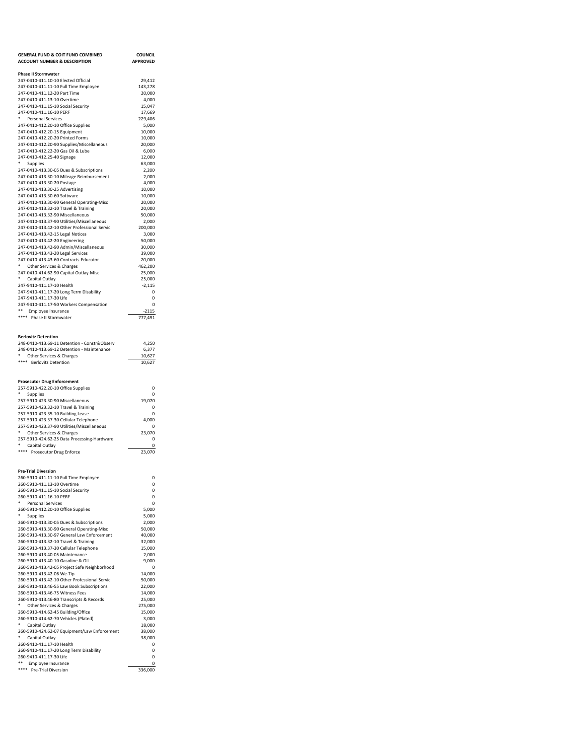| <b>GENERAL FUND &amp; COIT FUND COMBINED</b>                                               | <b>COUNCIL</b>    |
|--------------------------------------------------------------------------------------------|-------------------|
| <b>ACCOUNT NUMBER &amp; DESCRIPTION</b>                                                    | <b>APPROVED</b>   |
| <b>Phase II Stormwater</b>                                                                 |                   |
| 247-0410-411.10-10 Elected Official                                                        | 29,412            |
| 247-0410-411.11-10 Full Time Employee<br>247-0410-411.12-20 Part Time                      | 143,278<br>20,000 |
| 247-0410-411.13-10 Overtime                                                                | 4,000             |
| 247-0410-411.15-10 Social Security                                                         | 15,047            |
| 247-0410-411.16-10 PERF                                                                    | 17,669            |
| ۰.<br><b>Personal Services</b><br>247-0410-412.20-10 Office Supplies                       | 229,406<br>5,000  |
| 247-0410-412.20-15 Equipment                                                               | 10,000            |
| 247-0410-412.20-20 Printed Forms                                                           | 10,000            |
| 247-0410-412.20-90 Supplies/Miscellaneous                                                  | 20,000            |
| 247-0410-412.22-20 Gas Oil & Lube                                                          | 6,000             |
| 247-0410-412.25-40 Signage<br>*<br>Supplies                                                | 12,000<br>63,000  |
| 247-0410-413.30-05 Dues & Subscriptions                                                    | 2,200             |
| 247-0410-413.30-10 Mileage Reimbursement                                                   | 2,000             |
| 247-0410-413.30-20 Postage                                                                 | 4,000             |
| 247-0410-413.30-25 Advertising<br>247-0410-413.30-60 Software                              | 10.000<br>10,000  |
| 247-0410-413.30-90 General Operating-Misc                                                  | 20,000            |
| 247-0410-413.32-10 Travel & Training                                                       | 20,000            |
| 247-0410-413.32-90 Miscellaneous                                                           | 50,000            |
| 247-0410-413.37-90 Utilities/Miscellaneous                                                 | 2,000             |
| 247-0410-413.42-10 Other Professional Servic                                               | 200,000           |
| 247-0410-413.42-15 Legal Notices<br>247-0410-413.42-20 Engineering                         | 3,000<br>50,000   |
| 247-0410-413.42-90 Admin/Miscellaneous                                                     | 30,000            |
| 247-0410-413.43-20 Legal Services                                                          | 39,000            |
| 247-0410-413.43-60 Contracts-Educator                                                      | 20,000            |
| * Other Services & Charges                                                                 | 462,200           |
| 247-0410-414.62-90 Capital Outlay-Misc<br>* Capital Outlay                                 | 25,000<br>25,000  |
| 247-9410-411.17-10 Health                                                                  | $-2,115$          |
| 247-9410-411.17-20 Long Term Disability                                                    | 0                 |
| 247-9410-411.17-30 Life                                                                    | $\Omega$          |
| 247-9410-411.17-50 Workers Compensation                                                    | 0                 |
| ** Employee Insurance<br>**** Phase II Stormwater                                          | $-2115$           |
|                                                                                            | 777,491           |
|                                                                                            |                   |
| <b>Berlovitz Detention</b>                                                                 |                   |
| 248-0410-413.69-11 Detention - Constr&Observ<br>248-0410-413.69-12 Detention - Maintenance | 4,250<br>6,377    |
| * Other Services & Charges                                                                 | 10,627            |
| **** Berlovitz Detention                                                                   | 10,627            |
|                                                                                            |                   |
|                                                                                            |                   |
| <b>Prosecutor Drug Enforcement</b><br>257-5910-422.20-10 Office Supplies                   | 0                 |
| * Supplies                                                                                 | 0                 |
| 257-5910-423.30-90 Miscellaneous                                                           | 19,070            |
| 257-5910-423.32-10 Travel & Training                                                       | 0                 |
| 257-5910-423.35-10 Building Lease                                                          | 0                 |
| 257-5910-423.37-30 Cellular Telephone<br>257-5910-423.37-90 Utilities/Miscellaneous        | 4,000<br>0        |
| *<br>Other Services & Charges                                                              | 23,070            |
| 257-5910-424.62-25 Data Processing-Hardware                                                | 0                 |
| Capital Outlay                                                                             | 0                 |
| **** Prosecutor Drug Enforce                                                               | 23,070            |
|                                                                                            |                   |
| <b>Pre-Trial Diversion</b>                                                                 |                   |
| 260-5910-411.11-10 Full Time Employee                                                      | 0<br>0            |
| 260-5910-411.13-10 Overtime<br>260-5910-411.15-10 Social Security                          | 0                 |
| 260-5910-411.16-10 PERF                                                                    | $\Omega$          |
| ۰<br><b>Personal Services</b>                                                              | 0                 |
| 260-5910-412.20-10 Office Supplies                                                         | 5.000             |
| ٠<br><b>Supplies</b>                                                                       | 5,000             |
| 260-5910-413.30-05 Dues & Subscriptions<br>260-5910-413.30-90 General Operating-Misc       | 2,000<br>50,000   |
| 260-5910-413.30-97 General Law Enforcement                                                 | 40,000            |
| 260-5910-413.32-10 Travel & Training                                                       | 32,000            |
| 260-5910-413.37-30 Cellular Telephone                                                      | 15,000            |
| 260-5910-413.40-05 Maintenance                                                             | 2,000             |
| 260-5910-413.40-10 Gasoline & Oil<br>260-5910-413.42-05 Project Safe Neighborhood          | 9,000<br>0        |
| 260-5910-413.42-06 We-Tip                                                                  | 14,000            |
| 260-5910-413.42-10 Other Professional Servic                                               | 50,000            |
| 260-5910-413.46-55 Law Book Subscriptions                                                  | 22,000            |
| 260-5910-413.46-75 Witness Fees                                                            | 14,000            |
| 260-5910-413.46-80 Transcripts & Records<br>Other Services & Charges                       | 25,000<br>275,000 |
| 260-5910-414.62-45 Building/Office                                                         | 15,000            |
| 260-5910-414.62-70 Vehicles (Plated)                                                       | 3,000             |
| ۰<br>Capital Outlay                                                                        | 18,000            |
| 260-5910-424.62-07 Equipment/Law Enforcement                                               | 38,000            |
| ۰<br>Capital Outlay                                                                        | 38,000<br>0       |
| 260-9410-411.17-10 Health<br>260-9410-411.17-20 Long Term Disability                       | 0                 |
| 260-9410-411.17-30 Life                                                                    |                   |
|                                                                                            | 0                 |
| ** Employee Insurance<br>**** Pre-Trial Diversion                                          | 0<br>336,000      |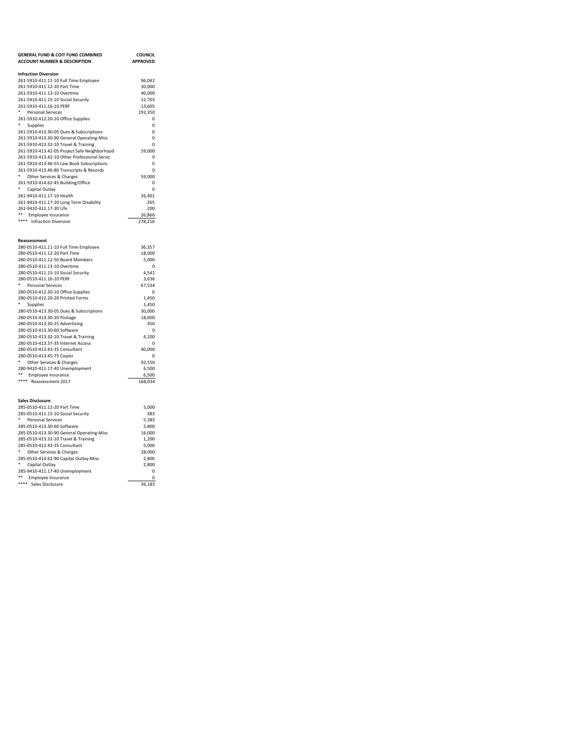| <b>GENERAL FUND &amp; COIT FUND COMBINED</b><br><b>ACCOUNT NUMBER &amp; DESCRIPTION</b> | <b>COUNCIL</b><br><b>APPROVED</b> |
|-----------------------------------------------------------------------------------------|-----------------------------------|
| <b>Infraction Diversion</b>                                                             |                                   |
| 261-5910-411.11-10 Full Time Employee                                                   | 96,042                            |
| 261-5910-411.12-20 Part Time                                                            | 30,000                            |
| 261-5910-411.13-10 Overtime                                                             | 40,000                            |
| 261-5910-411.15-10 Social Security                                                      | 12,703                            |
| 261-5910-411.16-10 PERF                                                                 | 13,605                            |
| ٠<br><b>Personal Services</b>                                                           | 192,350                           |
| 261-5910-412.20-10 Office Supplies                                                      | $\Omega$                          |
| ٠<br>Supplies                                                                           | $\Omega$                          |
| 261-5910-413.30-05 Dues & Subscriptions                                                 | $\Omega$                          |
| 261-5910-413.30-90 General Operating-Misc                                               | 0<br>$\Omega$                     |
| 261-5910-413.32-10 Travel & Training<br>261-5910-413.42-05 Project Safe Neighborhood    | 59,000                            |
| 261-5910-413.42-10 Other Professional Servic                                            | $\mathbf 0$                       |
| 261-5910-413.46-55 Law Book Subscriptions                                               | 0                                 |
| 261-5910-413.46-80 Transcripts & Records                                                | $\mathbf 0$                       |
| Other Services & Charges                                                                | 59,000                            |
| 261-5910-414.62-45 Building/Office                                                      | $\mathbf 0$                       |
| * Capital Outlay                                                                        | $\Omega$                          |
| 261-9410-411.17-10 Health                                                               | 26,401                            |
| 261-9410-411.17-20 Long Term Disability                                                 | 265                               |
| 261-9410-411.17-30 Life                                                                 | 200                               |
| ** Employee Insurance                                                                   | 26,866                            |
| **** Infraction Diversion                                                               | 278,216                           |
| Reassessment                                                                            |                                   |
| 280-0510-411.11-10 Full Time Employee                                                   | 36,357                            |
| 280-0510-411.12-20 Part Time                                                            | 18,000                            |
| 280-0510-411.12-50 Board Members<br>280-0510-411.13-10 Overtime                         | 5,000<br>0                        |
| 280-0510-411.15-10 Social Security                                                      | 4,541                             |
| 280-0510-411.16-10 PERF                                                                 | 3,636                             |
| *<br><b>Personal Services</b>                                                           | 67,534                            |
| 280-0510-412.20-10 Office Supplies                                                      | $\Omega$                          |
| 280-0510-412.20-20 Printed Forms                                                        | 1,450                             |
| ٠<br>Supplies                                                                           | 1,450                             |
| 280-0510-413.30-05 Dues & Subscriptions                                                 | 30,000                            |
| 280-0510-413.30-20 Postage                                                              | 18,000                            |
| 280-0510-413.30-25 Advertising                                                          | 450                               |
| 280-0510-413.30-60 Software                                                             | $\mathbf 0$                       |
| 280-0510-413.32-10 Travel & Training                                                    | 4,100                             |
| 280-0510-413.37-35 Internet Access                                                      | $\Omega$                          |
| 280-0510-413.43-35 Consultant                                                           | 40,000                            |
| 280-0510-413.45-75 Copier                                                               | 0                                 |
| * Other Services & Charges<br>280-9410-411.17-40 Unemployment                           | 92,550<br>6,500                   |
| **<br>Employee Insurance                                                                | 6,500                             |
| **** Reassessment 2017                                                                  | 168,034                           |
| <b>Sales Disclosure</b>                                                                 |                                   |
| 285-0510-411.12-20 Part Time                                                            | 5,000                             |
| 285-0510-411.15-10 Social Security                                                      | 383                               |
| *<br>Personal Services                                                                  | 5,383                             |
| 285-0510-413.30-60 Software                                                             | 5,800                             |
| 285-0510-413.30-90 General Operating-Misc                                               | 16,000                            |
| 285-0510-413.32-10 Travel & Training                                                    | 1,200                             |
| 285-0510-413.43-35 Consultant                                                           | 5,000                             |
| * Other Services & Charges                                                              | 28,000                            |
| 285-0510-414.62-90 Capital Outlay-Misc                                                  | 2,800                             |
| * Capital Outlay                                                                        | 2.800                             |
| 285-9410-411.17-40 Unemployment<br>** Employee Insurance                                | 0<br>$\Omega$                     |
| <br>Sales Disclosure                                                                    | 36.183                            |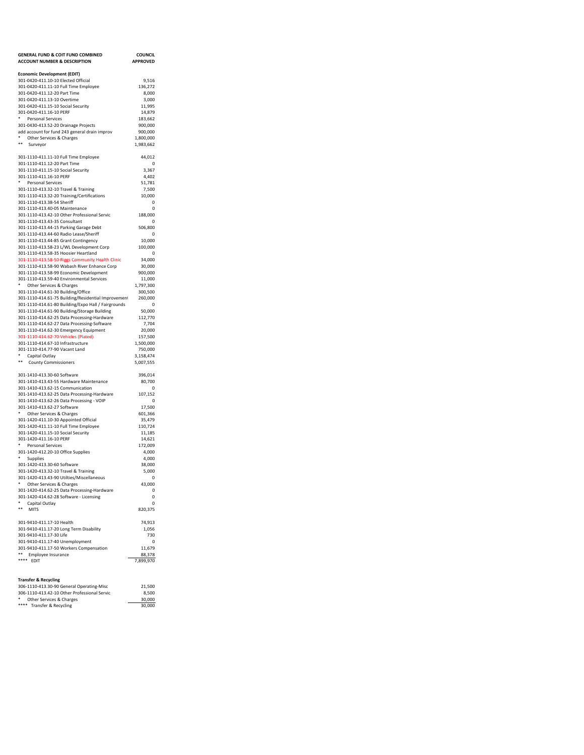| <b>GENERAL FUND &amp; COIT FUND COMBINED</b>                                                        | <b>COUNCIL</b>         |
|-----------------------------------------------------------------------------------------------------|------------------------|
| <b>ACCOUNT NUMBER &amp; DESCRIPTION</b>                                                             | <b>APPROVED</b>        |
| <b>Economic Development (EDIT)</b>                                                                  |                        |
| 301-0420-411.10-10 Elected Official                                                                 | 9,516                  |
| 301-0420-411.11-10 Full Time Employee                                                               | 136,272                |
| 301-0420-411.12-20 Part Time                                                                        | 8,000                  |
| 301-0420-411.13-10 Overtime<br>301-0420-411.15-10 Social Security                                   | 3,000<br>11,995        |
| 301-0420-411.16-10 PERF                                                                             | 14,879                 |
| ۰<br>Personal Services                                                                              | 183,662                |
| 301-0430-413.52-20 Drainage Projects                                                                | 900,000                |
| add account for fund 243 general drain improv                                                       | 900,000                |
| Other Services & Charges<br>$* *$<br>Surveyor                                                       | 1,800,000<br>1,983,662 |
|                                                                                                     |                        |
| 301-1110-411.11-10 Full Time Employee                                                               | 44,012                 |
| 301-1110-411.12-20 Part Time                                                                        | 0                      |
| 301-1110-411.15-10 Social Security<br>301-1110-411.16-10 PERF                                       | 3,367                  |
| Personal Services                                                                                   | 4,402<br>51,781        |
| 301-1110-413.32-10 Travel & Training                                                                | 7,500                  |
| 301-1110-413.32-20 Training/Certifications                                                          | 10,000                 |
| 301-1110-413.38-54 Sheriff                                                                          | 0                      |
| 301-1110-413.40-05 Maintenance                                                                      | 0                      |
| 301-1110-413.42-10 Other Professional Servic<br>301-1110-413.43-35 Consultant                       | 188,000                |
| 301-1110-413.44-15 Parking Garage Debt                                                              | 0<br>506,800           |
| 301-1110-413.44-60 Radio Lease/Sheriff                                                              | 0                      |
| 301-1110-413.44-85 Grant Contingency                                                                | 10,000                 |
| 301-1110-413.58-23 L/WL Development Corp                                                            | 100,000                |
| 301-1110-413.58-35 Hoosier Heartland                                                                | 0                      |
| 301-1110-413.58-50 Riggs Community Health Clinic<br>301-1110-413.58-90 Wabash River Enhance Corp    | 34,000<br>30,000       |
| 301-1110-413.58-99 Economic Development                                                             | 900,000                |
| 301-1110-413.59-40 Environmental Services                                                           | 11,000                 |
| Other Services & Charges                                                                            | 1,797,300              |
| 301-1110-414.61-30 Building/Office                                                                  | 300,500                |
| 301-1110-414.61-75 Building/Residential Improvement                                                 | 260,000                |
| 301-1110-414.61-80 Building/Expo Hall / Fairgrounds<br>301-1110-414.61-90 Building/Storage Building | 0<br>50,000            |
| 301-1110-414.62-25 Data Processing-Hardware                                                         | 112,770                |
| 301-1110-414.62-27 Data Processing-Software                                                         | 7,704                  |
| 301-1110-414.62-30 Emergency Equipment                                                              | 20,000                 |
| 301-1110-414.62-70 Vehicles (Plated)                                                                | 157,500                |
| 301-1110-414.67-10 Infrastructure<br>301-1110-414.77-90 Vacant Land                                 | 1,500,000<br>750,000   |
| Capital Outlay                                                                                      | 3,158,474              |
| **<br><b>County Commissioners</b>                                                                   | 5,007,555              |
|                                                                                                     |                        |
| 301-1410-413.30-60 Software                                                                         | 396,014                |
| 301-1410-413.43-55 Hardware Maintenance<br>301-1410-413.62-15 Communication                         | 80,700<br>0            |
| 301-1410-413.62-25 Data Processing-Hardware                                                         | 107,152                |
| 301-1410-413.62-26 Data Processing - VOIP                                                           | 0                      |
| 301-1410-413.62-27 Software                                                                         | 17,500                 |
| ٠<br>Other Services & Charges                                                                       | 601,366                |
| 301-1420-411.10-30 Appointed Official<br>301-1420-411.11-10 Full Time Employee                      | 35,479<br>110,724      |
| 301-1420-411.15-10 Social Security                                                                  | 11,185                 |
| 301-1420-411.16-10 PERF                                                                             | 14,621                 |
| ۰<br><b>Personal Services</b>                                                                       | 172,009                |
| 301-1420-412.20-10 Office Supplies                                                                  | 4,000                  |
| Supplies                                                                                            | 4,000                  |
| 301-1420-413.30-60 Software<br>301-1420-413.32-10 Travel & Training                                 | 38,000<br>5,000        |
| 301-1420-413.43-90 Utilties/Miscellaneous                                                           | 0                      |
| Other Services & Charges                                                                            | 43,000                 |
| 301-1420-414.62-25 Data Processing-Hardware                                                         | 0                      |
| 301-1420-414.62-28 Software - Licensing                                                             | 0                      |
| Capital Outlay<br>$***$<br><b>MITS</b>                                                              | 0<br>820,375           |
|                                                                                                     |                        |
| 301-9410-411.17-10 Health                                                                           | 74,913                 |
| 301-9410-411.17-20 Long Term Disability                                                             | 1,056                  |
| 301-9410-411.17-30 Life                                                                             | 730                    |
| 301-9410-411.17-40 Unemployment<br>301-9410-411.17-50 Workers Compensation                          | 0<br>11,679            |
| **<br>Employee Insurance                                                                            | 88,378                 |
| **** EDIT                                                                                           | 7,899,970              |
|                                                                                                     |                        |
| <b>Transfer &amp; Recycling</b>                                                                     |                        |

| <b>Transfer &amp; Recycling</b>              |        |
|----------------------------------------------|--------|
| 306-1110-413.30-90 General Operating-Misc    | 21.500 |
| 306-1110-413.42-10 Other Professional Servic | 8.500  |
| ٠<br>Other Services & Charges                | 30,000 |
| **** Transfer & Recycling                    | 30,000 |
|                                              |        |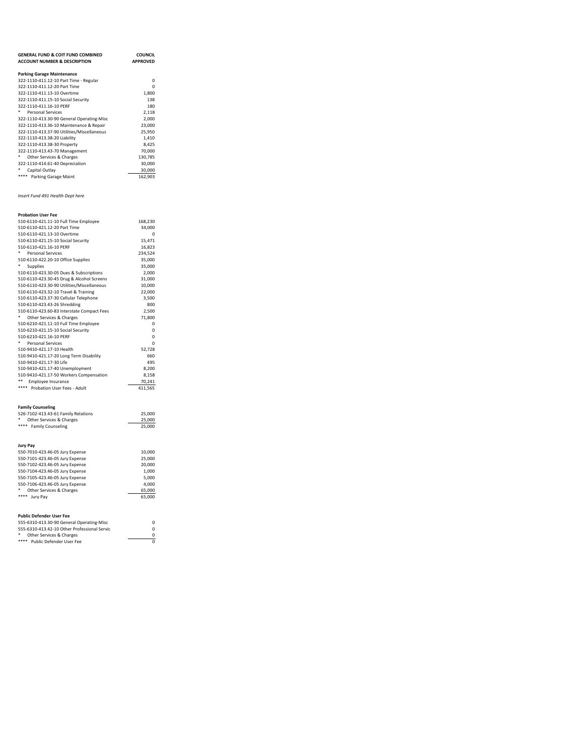| <b>Parking Garage Maintenance</b><br>322-1110-411.12-10 Part Time - Regular<br>0<br>322-1110-411.12-20 Part Time<br>$\Omega$<br>322-1110-411.13-10 Overtime<br>1,800<br>322-1110-411.15-10 Social Security<br>138<br>322-1110-411.16-10 PERF<br>180<br>٠<br>2,118<br><b>Personal Services</b><br>322-1110-413.30-90 General Operating-Misc<br>2,000<br>322-1110-413.36-10 Maintenance & Repair<br>23,000<br>322-1110-413.37-90 Utilities/Miscellaneous<br>25,950<br>322-1110-413.38-20 Liability<br>1,410<br>322-1110-413.38-30 Property<br>8,425<br>322-1110-413.43-70 Management<br>70,000<br>۰<br>Other Services & Charges<br>130,785<br>322-1110-414.61-40 Depreciation<br>30,000<br>Capital Outlay<br>30,000<br>**** Parking Garage Maint<br>162,903<br>Insert Fund 491 Health Dept here<br><b>Probation User Fee</b><br>510-6110-421.11-10 Full Time Employee<br>168,230<br>510-6110-421.12-20 Part Time<br>34,000<br>510-6110-421.13-10 Overtime<br>0<br>510-6110-421.15-10 Social Security<br>15,471<br>510-6110-421.16-10 PERF<br>16,823<br><b>Personal Services</b><br>234,524<br>510-6110-422.20-10 Office Supplies<br>35,000<br>۰<br>35,000<br>Supplies<br>510-6110-423.30-05 Dues & Subscriptions<br>2,000<br>510-6110-423.30-45 Drug & Alcohol Screens<br>31,000<br>510-6110-423.30-90 Utilities/Miscellaneous<br>10,000<br>510-6110-423.32-10 Travel & Training<br>22,000<br>510-6110-423.37-30 Cellular Telephone<br>3,500<br>510-6110-423.43-26 Shredding<br>800<br>510-6110-423.60-83 Interstate Compact Fees<br>2,500<br>Other Services & Charges<br>71,800<br>510-6210-421.11-10 Full Time Employee<br>0<br>510-6210-421.15-10 Social Security<br>$\Omega$<br>510-6210-421.16-10 PERF<br>0<br>۰<br>Personal Services<br>0<br>510-9410-421.17-10 Health<br>52,728<br>510-9410-421.17-20 Long Term Disability<br>660<br>510-9410-421.17-30 Life<br>495<br>510-9410-421.17-40 Unemployment<br>8,200<br>510-9410-421.17-50 Workers Compensation<br>8,158<br>**<br>Employee Insurance<br>70,241 | <b>GENERAL FUND &amp; COIT FUND COMBINED</b><br><b>ACCOUNT NUMBER &amp; DESCRIPTION</b> | <b>COUNCIL</b><br><b>APPROVED</b> |
|----------------------------------------------------------------------------------------------------------------------------------------------------------------------------------------------------------------------------------------------------------------------------------------------------------------------------------------------------------------------------------------------------------------------------------------------------------------------------------------------------------------------------------------------------------------------------------------------------------------------------------------------------------------------------------------------------------------------------------------------------------------------------------------------------------------------------------------------------------------------------------------------------------------------------------------------------------------------------------------------------------------------------------------------------------------------------------------------------------------------------------------------------------------------------------------------------------------------------------------------------------------------------------------------------------------------------------------------------------------------------------------------------------------------------------------------------------------------------------------------------------------------------------------------------------------------------------------------------------------------------------------------------------------------------------------------------------------------------------------------------------------------------------------------------------------------------------------------------------------------------------------------------------------------------------------------------------------------------------------------------------------|-----------------------------------------------------------------------------------------|-----------------------------------|
|                                                                                                                                                                                                                                                                                                                                                                                                                                                                                                                                                                                                                                                                                                                                                                                                                                                                                                                                                                                                                                                                                                                                                                                                                                                                                                                                                                                                                                                                                                                                                                                                                                                                                                                                                                                                                                                                                                                                                                                                                |                                                                                         |                                   |
|                                                                                                                                                                                                                                                                                                                                                                                                                                                                                                                                                                                                                                                                                                                                                                                                                                                                                                                                                                                                                                                                                                                                                                                                                                                                                                                                                                                                                                                                                                                                                                                                                                                                                                                                                                                                                                                                                                                                                                                                                |                                                                                         |                                   |
|                                                                                                                                                                                                                                                                                                                                                                                                                                                                                                                                                                                                                                                                                                                                                                                                                                                                                                                                                                                                                                                                                                                                                                                                                                                                                                                                                                                                                                                                                                                                                                                                                                                                                                                                                                                                                                                                                                                                                                                                                |                                                                                         |                                   |
|                                                                                                                                                                                                                                                                                                                                                                                                                                                                                                                                                                                                                                                                                                                                                                                                                                                                                                                                                                                                                                                                                                                                                                                                                                                                                                                                                                                                                                                                                                                                                                                                                                                                                                                                                                                                                                                                                                                                                                                                                |                                                                                         |                                   |
|                                                                                                                                                                                                                                                                                                                                                                                                                                                                                                                                                                                                                                                                                                                                                                                                                                                                                                                                                                                                                                                                                                                                                                                                                                                                                                                                                                                                                                                                                                                                                                                                                                                                                                                                                                                                                                                                                                                                                                                                                |                                                                                         |                                   |
|                                                                                                                                                                                                                                                                                                                                                                                                                                                                                                                                                                                                                                                                                                                                                                                                                                                                                                                                                                                                                                                                                                                                                                                                                                                                                                                                                                                                                                                                                                                                                                                                                                                                                                                                                                                                                                                                                                                                                                                                                |                                                                                         |                                   |
|                                                                                                                                                                                                                                                                                                                                                                                                                                                                                                                                                                                                                                                                                                                                                                                                                                                                                                                                                                                                                                                                                                                                                                                                                                                                                                                                                                                                                                                                                                                                                                                                                                                                                                                                                                                                                                                                                                                                                                                                                |                                                                                         |                                   |
|                                                                                                                                                                                                                                                                                                                                                                                                                                                                                                                                                                                                                                                                                                                                                                                                                                                                                                                                                                                                                                                                                                                                                                                                                                                                                                                                                                                                                                                                                                                                                                                                                                                                                                                                                                                                                                                                                                                                                                                                                |                                                                                         |                                   |
|                                                                                                                                                                                                                                                                                                                                                                                                                                                                                                                                                                                                                                                                                                                                                                                                                                                                                                                                                                                                                                                                                                                                                                                                                                                                                                                                                                                                                                                                                                                                                                                                                                                                                                                                                                                                                                                                                                                                                                                                                |                                                                                         |                                   |
|                                                                                                                                                                                                                                                                                                                                                                                                                                                                                                                                                                                                                                                                                                                                                                                                                                                                                                                                                                                                                                                                                                                                                                                                                                                                                                                                                                                                                                                                                                                                                                                                                                                                                                                                                                                                                                                                                                                                                                                                                |                                                                                         |                                   |
|                                                                                                                                                                                                                                                                                                                                                                                                                                                                                                                                                                                                                                                                                                                                                                                                                                                                                                                                                                                                                                                                                                                                                                                                                                                                                                                                                                                                                                                                                                                                                                                                                                                                                                                                                                                                                                                                                                                                                                                                                |                                                                                         |                                   |
|                                                                                                                                                                                                                                                                                                                                                                                                                                                                                                                                                                                                                                                                                                                                                                                                                                                                                                                                                                                                                                                                                                                                                                                                                                                                                                                                                                                                                                                                                                                                                                                                                                                                                                                                                                                                                                                                                                                                                                                                                |                                                                                         |                                   |
|                                                                                                                                                                                                                                                                                                                                                                                                                                                                                                                                                                                                                                                                                                                                                                                                                                                                                                                                                                                                                                                                                                                                                                                                                                                                                                                                                                                                                                                                                                                                                                                                                                                                                                                                                                                                                                                                                                                                                                                                                |                                                                                         |                                   |
|                                                                                                                                                                                                                                                                                                                                                                                                                                                                                                                                                                                                                                                                                                                                                                                                                                                                                                                                                                                                                                                                                                                                                                                                                                                                                                                                                                                                                                                                                                                                                                                                                                                                                                                                                                                                                                                                                                                                                                                                                |                                                                                         |                                   |
|                                                                                                                                                                                                                                                                                                                                                                                                                                                                                                                                                                                                                                                                                                                                                                                                                                                                                                                                                                                                                                                                                                                                                                                                                                                                                                                                                                                                                                                                                                                                                                                                                                                                                                                                                                                                                                                                                                                                                                                                                |                                                                                         |                                   |
|                                                                                                                                                                                                                                                                                                                                                                                                                                                                                                                                                                                                                                                                                                                                                                                                                                                                                                                                                                                                                                                                                                                                                                                                                                                                                                                                                                                                                                                                                                                                                                                                                                                                                                                                                                                                                                                                                                                                                                                                                |                                                                                         |                                   |
|                                                                                                                                                                                                                                                                                                                                                                                                                                                                                                                                                                                                                                                                                                                                                                                                                                                                                                                                                                                                                                                                                                                                                                                                                                                                                                                                                                                                                                                                                                                                                                                                                                                                                                                                                                                                                                                                                                                                                                                                                |                                                                                         |                                   |
|                                                                                                                                                                                                                                                                                                                                                                                                                                                                                                                                                                                                                                                                                                                                                                                                                                                                                                                                                                                                                                                                                                                                                                                                                                                                                                                                                                                                                                                                                                                                                                                                                                                                                                                                                                                                                                                                                                                                                                                                                |                                                                                         |                                   |
|                                                                                                                                                                                                                                                                                                                                                                                                                                                                                                                                                                                                                                                                                                                                                                                                                                                                                                                                                                                                                                                                                                                                                                                                                                                                                                                                                                                                                                                                                                                                                                                                                                                                                                                                                                                                                                                                                                                                                                                                                |                                                                                         |                                   |
|                                                                                                                                                                                                                                                                                                                                                                                                                                                                                                                                                                                                                                                                                                                                                                                                                                                                                                                                                                                                                                                                                                                                                                                                                                                                                                                                                                                                                                                                                                                                                                                                                                                                                                                                                                                                                                                                                                                                                                                                                |                                                                                         |                                   |
|                                                                                                                                                                                                                                                                                                                                                                                                                                                                                                                                                                                                                                                                                                                                                                                                                                                                                                                                                                                                                                                                                                                                                                                                                                                                                                                                                                                                                                                                                                                                                                                                                                                                                                                                                                                                                                                                                                                                                                                                                |                                                                                         |                                   |
|                                                                                                                                                                                                                                                                                                                                                                                                                                                                                                                                                                                                                                                                                                                                                                                                                                                                                                                                                                                                                                                                                                                                                                                                                                                                                                                                                                                                                                                                                                                                                                                                                                                                                                                                                                                                                                                                                                                                                                                                                |                                                                                         |                                   |
|                                                                                                                                                                                                                                                                                                                                                                                                                                                                                                                                                                                                                                                                                                                                                                                                                                                                                                                                                                                                                                                                                                                                                                                                                                                                                                                                                                                                                                                                                                                                                                                                                                                                                                                                                                                                                                                                                                                                                                                                                |                                                                                         |                                   |
|                                                                                                                                                                                                                                                                                                                                                                                                                                                                                                                                                                                                                                                                                                                                                                                                                                                                                                                                                                                                                                                                                                                                                                                                                                                                                                                                                                                                                                                                                                                                                                                                                                                                                                                                                                                                                                                                                                                                                                                                                |                                                                                         |                                   |
|                                                                                                                                                                                                                                                                                                                                                                                                                                                                                                                                                                                                                                                                                                                                                                                                                                                                                                                                                                                                                                                                                                                                                                                                                                                                                                                                                                                                                                                                                                                                                                                                                                                                                                                                                                                                                                                                                                                                                                                                                |                                                                                         |                                   |
|                                                                                                                                                                                                                                                                                                                                                                                                                                                                                                                                                                                                                                                                                                                                                                                                                                                                                                                                                                                                                                                                                                                                                                                                                                                                                                                                                                                                                                                                                                                                                                                                                                                                                                                                                                                                                                                                                                                                                                                                                |                                                                                         |                                   |
|                                                                                                                                                                                                                                                                                                                                                                                                                                                                                                                                                                                                                                                                                                                                                                                                                                                                                                                                                                                                                                                                                                                                                                                                                                                                                                                                                                                                                                                                                                                                                                                                                                                                                                                                                                                                                                                                                                                                                                                                                |                                                                                         |                                   |
|                                                                                                                                                                                                                                                                                                                                                                                                                                                                                                                                                                                                                                                                                                                                                                                                                                                                                                                                                                                                                                                                                                                                                                                                                                                                                                                                                                                                                                                                                                                                                                                                                                                                                                                                                                                                                                                                                                                                                                                                                |                                                                                         |                                   |
|                                                                                                                                                                                                                                                                                                                                                                                                                                                                                                                                                                                                                                                                                                                                                                                                                                                                                                                                                                                                                                                                                                                                                                                                                                                                                                                                                                                                                                                                                                                                                                                                                                                                                                                                                                                                                                                                                                                                                                                                                |                                                                                         |                                   |
|                                                                                                                                                                                                                                                                                                                                                                                                                                                                                                                                                                                                                                                                                                                                                                                                                                                                                                                                                                                                                                                                                                                                                                                                                                                                                                                                                                                                                                                                                                                                                                                                                                                                                                                                                                                                                                                                                                                                                                                                                |                                                                                         |                                   |
|                                                                                                                                                                                                                                                                                                                                                                                                                                                                                                                                                                                                                                                                                                                                                                                                                                                                                                                                                                                                                                                                                                                                                                                                                                                                                                                                                                                                                                                                                                                                                                                                                                                                                                                                                                                                                                                                                                                                                                                                                |                                                                                         |                                   |
|                                                                                                                                                                                                                                                                                                                                                                                                                                                                                                                                                                                                                                                                                                                                                                                                                                                                                                                                                                                                                                                                                                                                                                                                                                                                                                                                                                                                                                                                                                                                                                                                                                                                                                                                                                                                                                                                                                                                                                                                                |                                                                                         |                                   |
|                                                                                                                                                                                                                                                                                                                                                                                                                                                                                                                                                                                                                                                                                                                                                                                                                                                                                                                                                                                                                                                                                                                                                                                                                                                                                                                                                                                                                                                                                                                                                                                                                                                                                                                                                                                                                                                                                                                                                                                                                |                                                                                         |                                   |
|                                                                                                                                                                                                                                                                                                                                                                                                                                                                                                                                                                                                                                                                                                                                                                                                                                                                                                                                                                                                                                                                                                                                                                                                                                                                                                                                                                                                                                                                                                                                                                                                                                                                                                                                                                                                                                                                                                                                                                                                                |                                                                                         |                                   |
|                                                                                                                                                                                                                                                                                                                                                                                                                                                                                                                                                                                                                                                                                                                                                                                                                                                                                                                                                                                                                                                                                                                                                                                                                                                                                                                                                                                                                                                                                                                                                                                                                                                                                                                                                                                                                                                                                                                                                                                                                |                                                                                         |                                   |
|                                                                                                                                                                                                                                                                                                                                                                                                                                                                                                                                                                                                                                                                                                                                                                                                                                                                                                                                                                                                                                                                                                                                                                                                                                                                                                                                                                                                                                                                                                                                                                                                                                                                                                                                                                                                                                                                                                                                                                                                                |                                                                                         |                                   |
|                                                                                                                                                                                                                                                                                                                                                                                                                                                                                                                                                                                                                                                                                                                                                                                                                                                                                                                                                                                                                                                                                                                                                                                                                                                                                                                                                                                                                                                                                                                                                                                                                                                                                                                                                                                                                                                                                                                                                                                                                |                                                                                         |                                   |
|                                                                                                                                                                                                                                                                                                                                                                                                                                                                                                                                                                                                                                                                                                                                                                                                                                                                                                                                                                                                                                                                                                                                                                                                                                                                                                                                                                                                                                                                                                                                                                                                                                                                                                                                                                                                                                                                                                                                                                                                                |                                                                                         |                                   |
|                                                                                                                                                                                                                                                                                                                                                                                                                                                                                                                                                                                                                                                                                                                                                                                                                                                                                                                                                                                                                                                                                                                                                                                                                                                                                                                                                                                                                                                                                                                                                                                                                                                                                                                                                                                                                                                                                                                                                                                                                |                                                                                         |                                   |
|                                                                                                                                                                                                                                                                                                                                                                                                                                                                                                                                                                                                                                                                                                                                                                                                                                                                                                                                                                                                                                                                                                                                                                                                                                                                                                                                                                                                                                                                                                                                                                                                                                                                                                                                                                                                                                                                                                                                                                                                                |                                                                                         |                                   |
|                                                                                                                                                                                                                                                                                                                                                                                                                                                                                                                                                                                                                                                                                                                                                                                                                                                                                                                                                                                                                                                                                                                                                                                                                                                                                                                                                                                                                                                                                                                                                                                                                                                                                                                                                                                                                                                                                                                                                                                                                |                                                                                         |                                   |
|                                                                                                                                                                                                                                                                                                                                                                                                                                                                                                                                                                                                                                                                                                                                                                                                                                                                                                                                                                                                                                                                                                                                                                                                                                                                                                                                                                                                                                                                                                                                                                                                                                                                                                                                                                                                                                                                                                                                                                                                                |                                                                                         |                                   |
|                                                                                                                                                                                                                                                                                                                                                                                                                                                                                                                                                                                                                                                                                                                                                                                                                                                                                                                                                                                                                                                                                                                                                                                                                                                                                                                                                                                                                                                                                                                                                                                                                                                                                                                                                                                                                                                                                                                                                                                                                |                                                                                         |                                   |
|                                                                                                                                                                                                                                                                                                                                                                                                                                                                                                                                                                                                                                                                                                                                                                                                                                                                                                                                                                                                                                                                                                                                                                                                                                                                                                                                                                                                                                                                                                                                                                                                                                                                                                                                                                                                                                                                                                                                                                                                                |                                                                                         |                                   |
| **** Probation User Fees - Adult<br>411,565                                                                                                                                                                                                                                                                                                                                                                                                                                                                                                                                                                                                                                                                                                                                                                                                                                                                                                                                                                                                                                                                                                                                                                                                                                                                                                                                                                                                                                                                                                                                                                                                                                                                                                                                                                                                                                                                                                                                                                    |                                                                                         |                                   |

## Family Counseling

| 526-7102-413.43-61 Family Relations | 25.000 |
|-------------------------------------|--------|
| Other Services & Charges            | 25.000 |
| <b>Family Counseling</b>            | 25.000 |
|                                     |        |
|                                     |        |
| <b>Jury Pay</b>                     |        |
| 550-7010-423.46-05 Jury Expense     | 10,000 |
| 550-7101-423.46-05 Jury Expense     | 25.000 |
| 550-7102-423.46-05 Jury Expense     | 20,000 |
| 550-7104-423.46-05 Jury Expense     | 1.000  |
| 550-7105-423.46-05 Jury Expense     | 5.000  |
| 550-7106-423.46-05 Jury Expense     | 4.000  |
| Other Services & Charges            | 65.000 |
| Jury Pay                            | 65.000 |

| <b>Public Defender User Fee</b>              |   |
|----------------------------------------------|---|
| 555-6310-413.30-90 General Operating-Misc    | 0 |
| 555-6310-413.42-10 Other Professional Servic | 0 |
| ۰<br>Other Services & Charges                | 0 |
| ****<br>Public Defender User Fee             |   |